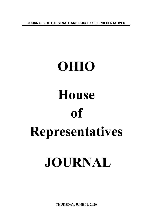**JOURNALS OF THE SENATE AND HOUSE OF REPRESENTATIVES**

# **OHIO House of Representatives JOURNAL**

THURSDAY, JUNE 11, 2020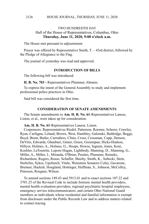# TWO HUNDREDTH DAY Hall of the House of Representatives, Columbus, Ohio **Thursday, June 11, 2020, 9:00 o'clock a.m.**

The House met pursuant to adjournment.

Prayer was offered by Representative Smith, T. – 43rd district, followed by the Pledge of Allegiance to the Flag.

The journal of yesterday was read and approved.

### **INTRODUCTION OF BILLS**

The following bill was introduced:

**H. B. No. 703 -** Representatives Plummer, Abrams.

To express the intent of the General Assembly to study and implement professional police practices in Ohio.

Said bill was considered the first time.

### **CONSIDERATION OF SENATE AMENDMENTS**

The Senate amendments to **Am. H. B. No. 61**-Representatives Lanese, Liston, et al., were taken up for consideration.

**Am. H. B. No. 61**-Representatives Lanese, Liston.

Cosponsors: Representatives Riedel, Patterson, Roemer, Scherer, Crawley, Ryan, Carfagna, Leland, Brown, West, Hambley, Galonski, Baldridge, Boggs, Boyd, Brent, Butler, Carruthers, Clites, Cross, Crossman, Cupp, Denson, DeVitis, Edwards, Ghanbari, Ginter, Green, Greenspan, Hicks-Hudson, Hillyer, Holmes, A., Holmes, G., Hoops, Howse, Ingram, Jones, Kent, Koehler, LaTourette, Lepore-Hagan, Lightbody, Manning, D., Manning, G., Miller, A., Miller, J., Miranda, O'Brien, Perales, Plummer, Reineke, Richardson, Rogers, Russo, Schaffer, Sheehy, Smith, K., Sobecki, Stein, Stoltzfus, Sykes, Upchurch, Vitale, Weinstein Senators Coley, Gavarone, Brenner, Hackett, Hoagland, Hottinger, Huffman, S., Johnson, McColley, Peterson, Roegner, Wilson.

To amend sections 149.43 and 5913.01 and to enact sections 107.22 and 3701.25 of the Revised Code to include forensic mental health providers, mental health evaluation providers, regional psychiatric hospital employees, emergency service telecommunicators, and certain Ohio National Guard members as individuals whose residential and familial information is exempt from disclosure under the Public Records Law and to address matters related to contact tracing.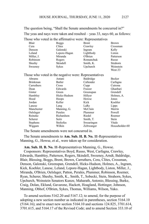The question being, "Shall the Senate amendments be concurred in?" The yeas and nays were taken and resulted – yeas 33, nays 60, as follows:

|            | Those who voted in the affirmative were: Representatives |              |              |
|------------|----------------------------------------------------------|--------------|--------------|
| Blair      | <b>Boggs</b>                                             | <b>Brent</b> | <b>Brown</b> |
| Cera       | Clites                                                   | Crawley      | Crossman     |
| Denson     | Galonski                                                 | Ingram       | Kelly        |
| Leland     | Lepore-Hagan                                             | Lightbody    | Liston       |
| Miller, J. | Miranda                                                  | O'Brien      | Patterson    |
| Robinson   | Rogers                                                   | Romanchuk    | Russo        |
| Sheehy     | Skindell                                                 | Smith, K.    | Strahorn     |
| Sweeney    | <b>Sykes</b>                                             | Upchurch     | Weinstein    |
|            |                                                          |              | West-33      |

Those who voted in the negative were: Representatives

|                 | hose who voice in the hegative were, respresentatives |            |                |
|-----------------|-------------------------------------------------------|------------|----------------|
| Abrams          | Antani                                                | Baldridge  | Becker         |
| <b>Brinkman</b> | Butler                                                | Callender  | Carfagna       |
| Carruthers      | Cross                                                 | Cupp       | Cutrona        |
| Dean            | Edwards                                               | Fraizer    | Ghanbari       |
| Ginter          | Green                                                 | Greenspan  | Grendell       |
| Hambley         | Hicks-Hudson                                          | Hillyer    | Holmes, A.     |
| Hood            | Hoops                                                 | Howse      | Jones          |
| Jordan          | Keller                                                | Kick       | Koehler        |
| Lanese          | Lang                                                  | LaRe       | Lipps          |
| Manchester      | Manning, G.                                           | McClain    | Merrin         |
| Oelslager       | Perales                                               | Plummer    | Powell         |
| Reineke         | Richardson                                            | Riedel     | Roemer         |
| Scherer         | Seitz                                                 | Smith, T.  | <b>Stein</b>   |
| <b>Stephens</b> | <b>Stoltzfus</b>                                      | Swearingen | Vitale         |
| Wiggam          | Wilkin                                                | Zeltwanger | Householder-60 |

The Senate amendments were not concurred in.

The Senate amendments to **Am. Sub. H. B. No. 11**-Representatives Manning, G., Howse, et al., were taken up for consideration.

**Am. Sub. H. B. No. 11**-Representatives Manning, G., Howse.

Cosponsors: Representatives Boyd, Russo, West, Carfagna, Crawley, Edwards, Hambley, Patterson, Rogers, Skindell, Sweeney, Arndt, Baldridge, Blair, Blessing, Boggs, Brent, Brown, Carruthers, Cera, Clites, Crossman, Denson, Galonski, Greenspan, Grendell, Hicks-Hudson, Holmes, A., Ingram, Kick, Koehler, Lanese, Leland, Lepore-Hagan, Lightbody, Liston, Miller, J., Miranda, O'Brien, Oelslager, Patton, Perales, Plummer, Robinson, Roemer, Ryan, Scherer, Sheehy, Smith, K., Smith, T., Sobecki, Stein, Strahorn, Sykes, Upchurch, Weinstein Senators Kunze, Maharath, Antonio, Blessing, Burke, Craig, Dolan, Eklund, Gavarone, Hackett, Hoagland, Hottinger, Johnson, Manning, Obhof, O'Brien, Sykes, Thomas, Williams, Wilson, Yuko.

To amend sections 5162.20 and 5167.12; to amend, for the purpose of adopting a new section number as indicated in parentheses, section 5164.10 (5164.16); and to enact new section 5164.10 and sections 124.825, 3701.614, 3701.615, and 5164.17 of the Revised Code; and to amend Section 333.10 of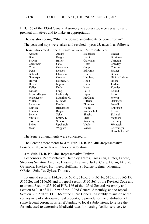### HOUSE JOURNAL, THURSDAY, JUNE 11, 2020 2128

H.B. 166 of the 133rd General Assembly to address tobacco cessation and prenatal initiatives and to make an appropriation.

The question being, "Shall the Senate amendments be concurred in?" The yeas and nays were taken and resulted – yeas 93, nays 0, as follows: Those who voted in the affirmative were: Representatives

| Abrams       | Antani      | Baldridge    | Becker          |
|--------------|-------------|--------------|-----------------|
| Blair        | Boggs       | <b>Brent</b> | <b>Brinkman</b> |
| <b>Brown</b> | Butler      | Callender    | Carfagna        |
| Carruthers   | Cera        | Clites       | Crawley         |
| Cross        | Crossman    | Cupp         | Cutrona         |
| Dean         | Denson      | Edwards      | Fraizer         |
| Galonski     | Ghanbari    | Ginter       | Green           |
| Greenspan    | Grendell    | Hambley      | Hicks-Hudson    |
| Hillyer      | Holmes, A.  | Hood         | Hoops           |
| Howse        | Ingram      | Jones        | Jordan          |
| Keller       | Kelly       | Kick         | Koehler         |
| Lanese       | Lang        | LaRe         | Leland          |
| Lepore-Hagan | Lightbody   | Lipps        | Liston          |
| Manchester   | Manning, G. | McClain      | Merrin          |
| Miller, J.   | Miranda     | O'Brien      | Oelslager       |
| Patterson    | Perales     | Plummer      | Powell          |
| Reineke      | Richardson  | Riedel       | Robinson        |
| Roemer       | Rogers      | Romanchuk    | Russo           |
| Scherer      | Seitz       | Sheehy       | Skindell        |
| Smith, K.    | Smith, T.   | Stein        | <b>Stephens</b> |
| Stoltzfus    | Strahorn    | Swearingen   | Sweeney         |
| Sykes        | Upchurch    | Vitale       | Weinstein       |
| West         | Wiggam      | Wilkin       | Zeltwanger      |
|              |             |              | Householder-93  |

The Senate amendments were concurred in.

The Senate amendments to **Am. Sub. H. B. No. 481**-Representative Fraizer, et al., were taken up for consideration.

### **Am. Sub. H. B. No. 481**-Representative Fraizer.

Cosponsors: Representatives Hambley, Clites, Crossman, Ginter, Lanese, Stephens Senators Antonio, Blessing, Brenner, Burke, Craig, Dolan, Eklund, Gavarone, Hackett, Hottinger, Huffman, S., Kunze, Lehner, Manning, O'Brien, Schaffer, Sykes, Thomas.

To amend sections 124.393, 5165.01, 5165.15, 5165.16, 5165.17, 5165.19, 5165.26, and 5166.01 and to repeal section 5165.361 of the Revised Code and to amend Section 333.10 of H.B. 166 of the 133rd General Assembly and Section 812.10 of H.B. 529 of the 132nd General Assembly, and to repeal Section 333.270 of H.B. 166 of the 133rd General Assembly to authorize the conveyance of state-owned real property, to provide for the distribution of some federal coronavirus relief funding to local subdivisions, to revise the formula used to determine Medicaid rates for nursing facility services, to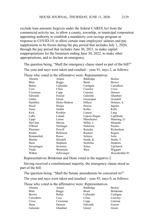exclude loan amounts forgiven under the federal CARES Act from the commercial activity tax, to allow a county, township, or municipal corporation appointing authority to establish a mandatory cost savings program in response to COVID-19, to allow certain state employees' salaries and pay supplements to be frozen during the pay period that includes July 1, 2020, through the pay period that includes June 30, 2021, to make capital reappropriations for the biennium ending June 30, 2022, to make other appropriations, and to declare an emergency.

The question being, "Shall the emergency clause stand as part of the bill?" The yeas and nays were taken and resulted – yeas 91, nays 2, as follows:

| Abrams     | Antani       | Baldridge    | Becker         |
|------------|--------------|--------------|----------------|
| Blair      | <b>Boggs</b> | <b>Brent</b> | <b>Brown</b>   |
| Butler     | Callender    | Carfagna     | Carruthers     |
| Cera       | Clites       | Crawley      | Cross          |
| Crossman   | Cupp         | Cutrona      | Denson         |
| Edwards    | Fraizer      | Galonski     | Ghanbari       |
| Ginter     | Green        | Greenspan    | Grendell       |
| Hambley    | Hicks-Hudson | Hillyer      | Holmes, A.     |
| Hood       | Hoops        | Howse        | Ingram         |
| Jones      | Jordan       | Keller       | Kelly          |
| Kick       | Koehler      | Lanese       | Lang           |
| LaRe       | Leland       | Lepore-Hagan | Lightbody      |
| Lipps      | Liston       | Manchester   | Manning, G.    |
| McClain    | Merrin       | Miller, J.   | Miranda        |
| O'Brien    | Oelslager    | Patterson    | Perales        |
| Plummer    | Powell       | Reineke      | Richardson     |
| Riedel     | Robinson     | Roemer       | Rogers         |
| Romanchuk  | Russo        | Scherer      | Seitz          |
| Sheehy     | Skindell     | Smith, K.    | Smith, T.      |
| Stein      | Stephens     | Stoltzfus    | Strahorn       |
| Swearingen | Sweeney      | Sykes        | Upchurch       |
| Vitale     | Weinstein    | West         | Wiggam         |
| Wilkin     | Zeltwanger   |              | Householder-91 |
|            |              |              |                |

Those who voted in the affirmative were: Representatives

Representatives Brinkman and Dean voted in the negative-2.

Having received a constitutional majority, the emergency clause stood as part of the bill.

The question being, "Shall the Senate amendments be concurred in?"

The yeas and nays were taken and resulted – yeas 93, nays 0, as follows:

Those who voted in the affirmative were: Representatives

| Abrams       | Antani       | Baldridge    | Becker   |
|--------------|--------------|--------------|----------|
| Blair        | <b>Boggs</b> | <b>Brent</b> | Brinkman |
| <b>Brown</b> | Butler       | Callender    | Carfagna |
| Carruthers   | Cera         | Clites       | Crawley  |
| Cross        | Crossman     | Cupp         | Cutrona  |
| Dean         | Denson       | Edwards      | Fraizer  |
| Galonski     | Ghanbari     | Ginter       | Green    |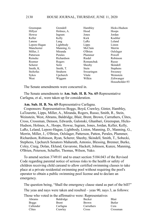| Greenspan        | Grendell    | Hambley    | Hicks-Hudson    |
|------------------|-------------|------------|-----------------|
| Hillyer          | Holmes, A.  | Hood       | Hoops           |
| Howse            | Ingram      | Jones      | Jordan          |
| Keller           | Kelly       | Kick       | Koehler         |
| Lanese           | Lang        | LaRe       | Leland          |
| Lepore-Hagan     | Lightbody   | Lipps      | Liston          |
| Manchester       | Manning, G. | McClain    | Merrin          |
| Miller, J.       | Miranda     | O'Brien    | Oelslager       |
| Patterson        | Perales     | Plummer    | Powell          |
| Reineke          | Richardson  | Riedel     | Robinson        |
| Roemer           | Rogers      | Romanchuk  | Russo           |
| Scherer          | Seitz       | Sheehy     | Skindell        |
| Smith, K.        | Smith, T.   | Stein      | <b>Stephens</b> |
| <b>Stoltzfus</b> | Strahorn    | Swearingen | Sweeney         |
| Sykes            | Upchurch    | Vitale     | Weinstein       |
| West             | Wiggam      | Wilkin     | Zeltwanger      |
|                  |             |            | Householder-93  |

The Senate amendments were concurred in.

The Senate amendments to **Am. Sub. H. B. No. 65**-Representative Carfagna, et al., were taken up for consideration.

**Am. Sub. H. B. No. 65**-Representative Carfagna.

Cosponsors: Representatives Boggs, Boyd, Crawley, Ginter, Hambley, LaTourette, Lipps, Miller, A., Miranda, Rogers, Russo, Smith, R., Stein, Weinstein, West, Abrams, Baldridge, Blair, Brent, Brown, Carruthers, Clites, Cross, Crossman, Denson, Edwards, Galonski, Ghanbari, Greenspan, Hicks-Hudson, Holmes, A., Hoops, Howse, Ingram, Jones, Jordan, Keller, Kelly, LaRe, Leland, Lepore-Hagan, Lightbody, Liston, Manning, D., Manning, G., Merrin, Miller, J., O'Brien, Oelslager, Patterson, Patton, Perales, Plummer, Richardson, Robinson, Ryan, Scherer, Sheehy, Skindell, Smith, T., Sobecki, Stephens, Upchurch Senators Maharath, Antonio, Blessing, Brenner, Burke, Coley, Craig, Dolan, Eklund, Gavarone, Hackett, Johnson, Kunze, Manning, O'Brien, Peterson, Schaffer, Thomas, Wilson, Yuko.

To amend section 3749.01 and to enact section 5104.043 of the Revised Code regarding parental notice of serious risks to the health or safety of children receiving child careand to allow certified swimming classes to take place at a private residential swimming pool without requiring the pool's operator to obtain a public swimming pool license and to declare an emergency.

The question being, "Shall the emergency clause stand as part of the bill?"

The yeas and nays were taken and resulted – yeas 90, nays 3, as follows:

Those who voted in the affirmative were: Representatives

| Abrams    | Baldridge    | Becker       | Blair    |
|-----------|--------------|--------------|----------|
| Boggs     | <b>Brent</b> | <b>Brown</b> | Butler   |
| Callender | Carfagna     | Carruthers   | Cera     |
| Clites    | Crawley      | Cross        | Crossman |
|           |              |              |          |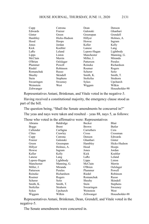| Cupp       | Cutrona         | Dean         | Denson         |
|------------|-----------------|--------------|----------------|
| Edwards    | Fraizer         | Galonski     | Ghanbari       |
| Ginter     | Green           | Greenspan    | Grendell       |
| Hambley    | Hicks-Hudson    | Hillyer      | Holmes, A.     |
| Hood       | Hoops           | Howse        | Ingram         |
| Jones      | Jordan          | Keller       | Kelly          |
| Kick       | Koehler         | Lanese       | Lang           |
| LaRe       | Leland          | Lepore-Hagan | Lightbody      |
| Lipps      | Liston          | Manchester   | Manning, G.    |
| McClain    | Merrin          | Miller, J.   | Miranda        |
| O'Brien    | Oelslager       | Patterson    | Perales        |
| Plummer    | Powell          | Reineke      | Richardson     |
| Riedel     | Robinson        | Roemer       | Rogers         |
| Romanchuk  | Russo           | Scherer      | Seitz          |
| Sheehy     | Skindell        | Smith, K.    | Smith, T.      |
| Stein      | <b>Stephens</b> | Stoltzfus    | Strahorn       |
| Swearingen | Sweeney         | Sykes        | Upchurch       |
| Weinstein  | West            | Wiggam       | Wilkin         |
| Zeltwanger |                 |              | Householder-90 |

Representatives Antani, Brinkman, and Vitale voted in the negative-3.

Having received a constitutional majority, the emergency clause stood as part of the bill.

The question being, "Shall the Senate amendments be concurred in?"

The yeas and nays were taken and resulted – yeas 88, nays 5, as follows:

Those who voted in the affirmative were: Representatives

| Abrams       | Baldridge    | Becker     | Blair          |
|--------------|--------------|------------|----------------|
| <b>Boggs</b> | <b>Brent</b> | Brown      | Butler         |
| Callender    | Carfagna     | Carruthers | Cera           |
| Clites       | Crawley      | Cross      | Crossman       |
| Cupp         | Cutrona      | Denson     | Edwards        |
| Fraizer      | Galonski     | Ghanbari   | Ginter         |
| Green        | Greenspan    | Hambley    | Hicks-Hudson   |
| Hillyer      | Holmes, A.   | Hood       | Hoops          |
| Howse        | Ingram       | Jones      | Jordan         |
| Keller       | Kelly        | Kick       | Koehler        |
| Lanese       | Lang         | LaRe       | Leland         |
| Lepore-Hagan | Lightbody    | Lipps      | Liston         |
| Manchester   | Manning, G.  | McClain    | Merrin         |
| Miller, J.   | Miranda      | O'Brien    | Oelslager      |
| Patterson    | Perales      | Plummer    | Powell         |
| Reineke      | Richardson   | Riedel     | Robinson       |
| Roemer       | Rogers       | Romanchuk  | Russo          |
| Scherer      | Seitz        | Sheehy     | Skindell       |
| Smith, K.    | Smith, T.    | Stein      | Stephens       |
| Stoltzfus    | Strahorn     | Swearingen | Sweeney        |
| Sykes        | Upchurch     | Weinstein  | West           |
| Wiggam       | Wilkin       | Zeltwanger | Householder-88 |

Representatives Antani, Brinkman, Dean, Grendell, and Vitale voted in the negative-5.

The Senate amendments were concurred in.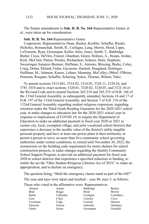The Senate amendments to **Sub. H. B. No. 164**-Representative Ginter, et al., were taken up for consideration.

### **Sub. H. B. No. 164**-Representative Ginter.

Cosponsors: Representatives Dean, Becker, Koehler, Schaffer, Riedel, Stoltzfus, Romanchuk, Smith, R., Carfagna, Lang, Merrin, Hood, Lipps, LaTourette, Ryan, Greenspan, Keller, Seitz, Jones, Smith, T., Baldridge, Butler, Cross, DeVitis, Fraizer, Ghanbari, Green, Holmes, A., Hoops, Jordan, Kick, McClain, Patton, Perales, Richardson, Scherer, Stein, Stephens, Swearingen Senators Brenner, Huffman, S., Antonio, Blessing, Burke, Coley, Craig, Dolan, Eklund, Fedor, Gavarone, Hackett, Hoagland, Hottinger, Huffman, M., Johnson, Kunze, Lehner, Manning, McColley, Obhof, O'Brien, Peterson, Roegner, Schaffer, Schuring, Sykes, Thomas, Wilson, Yuko.

To amend sections 3313.601, 3314.02, 3314.03, 3326.11, 3328.24, and 3781.1010 and to enact sections 3320.01, 3320.02, 3320.03, and 3323.10 of the Revised Code and to amend Sections 265.210 and 265.335 of H.B. 166 of the 133rd General Assembly, as subsequently amended, Sections 16 and 17 of H.B. 197 of the 133rd General Assembly, and Section 7 of S.B. 216 of the 132nd General Assembly regarding student religious expression, regarding retention under the Third Grade Reading Guarantee for the 2020-2021 school year, to make changes to education law for the 2020-2021 school year in response to implications of COVID-19, to require the Department of Education to make an additional payment in fiscal year 2020 or 2021 to certain city, local, exempted village, and joint vocational school districts that experience a decrease in the taxable value of the district's utility tangible personal property and have at least one power plant in their territories, to permit a person to serve on more than five community school governing authorities under certain conditions, to extend until November 30, 2022, the moratorium on the building code requirement for storm shelters for school construction projects, to make changes regarding the Quality Community School Support Program, to provide an additional payment for fiscal year 2020 to school districts that experience a specified reduction in funding, to entitle the act the "Ohio Student Religious Liberties Act of 2019," to make an appropriation, and to declare an emergency.

The question being, "Shall the emergency clause stand as part of the bill?" The yeas and nays were taken and resulted – yeas 88, nays 5, as follows:

Those who voted in the affirmative were: Representatives

| Abrams   | Antani       | Baldridge    | Becker       |
|----------|--------------|--------------|--------------|
| Blair    | <b>Boggs</b> | <b>Brent</b> | <b>Brown</b> |
| Butler   | Callender    | Carfagna     | Carruthers   |
| Cera     | Clites       | Crawley      | Cross        |
| Crossman | Cupp         | Cutrona      | Denson       |
| Edwards  | Fraizer      | Galonski     | Ghanbari     |
| Ginter   | Green        | Greenspan    | Grendell     |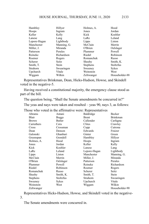| Hambley      | Hillyer     | Holmes, A.      | Hood           |
|--------------|-------------|-----------------|----------------|
| Hoops        | Ingram      | Jones           | Jordan         |
| Keller       | Kelly       | Kick            | Koehler        |
| Lanese       | Lang        | LaRe            | Leland         |
| Lepore-Hagan | Lightbody   | Lipps           | Liston         |
| Manchester   | Manning, G. | McClain         | Merrin         |
| Miller, J.   | Miranda     | O'Brien         | Oelslager      |
| Patterson    | Perales     | Plummer         | Powell         |
| Reineke      | Richardson  | Riedel          | Robinson       |
| Roemer       | Rogers      | Romanchuk       | Russo          |
| Scherer      | Seitz       | Sheehy          | Smith, K.      |
| Smith, T.    | Stein       | <b>Stephens</b> | Stoltzfus      |
| Strahorn     | Swearingen  | Sweeney         | Sykes          |
| Upchurch     | Vitale      | Weinstein       | West           |
| Wiggam       | Wilkin      | Zeltwanger      | Householder-88 |

Representatives Brinkman, Dean, Hicks-Hudson, Howse, and Skindell voted in the negative-5.

Having received a constitutional majority, the emergency clause stood as part of the bill.

The question being, "Shall the Senate amendments be concurred in?"

The yeas and nays were taken and resulted – yeas 90, nays 3, as follows:

Those who voted in the affirmative were: Representatives

| Abrams          | Antani    | Baldridge    | Becker          |
|-----------------|-----------|--------------|-----------------|
| Blair           | Boggs     | <b>Brent</b> | <b>Brinkman</b> |
| Brown           | Butler    | Callender    | Carfagna        |
| Carruthers      | Cera      | Clites       | Crawley         |
| Cross           | Crossman  | Cupp         | Cutrona         |
| Dean            | Denson    | Edwards      | Fraizer         |
| Galonski        | Ghanbari  | Ginter       | Green           |
| Greenspan       | Grendell  | Hambley      | Hillyer         |
| Holmes, A.      | Hood      | Hoops        | Ingram          |
| Jones           | Jordan    | Keller       | Kelly           |
| Kick            | Koehler   | Lanese       | Lang            |
| LaRe            | Leland    | Lepore-Hagan | Lightbody       |
| Lipps           | Liston    | Manchester   | Manning, G.     |
| McClain         | Merrin    | Miller, J.   | Miranda         |
| O'Brien         | Oelslager | Patterson    | Perales         |
| Plummer         | Powell    | Reineke      | Richardson      |
| Riedel          | Robinson  | Roemer       | Rogers          |
| Romanchuk       | Russo     | Scherer      | Seitz           |
| Sheehy          | Smith, K. | Smith, T.    | Stein           |
| <b>Stephens</b> | Stoltzfus | Strahorn     | Swearingen      |
| Sweeney         | Sykes     | Upchurch     | Vitale          |
| Weinstein       | West      | Wiggam       | Wilkin          |
| Zeltwanger      |           |              | Householder-90  |

Representatives Hicks-Hudson, Howse, and Skindell voted in the negative-3.

The Senate amendments were concurred in.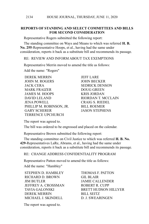## **REPORTS OF STANDING AND SELECT COMMITTEES AND BILLS FOR SECOND CONSIDERATION**

Representative Rogers submitted the following report:

The standing committee on Ways and Means to which was referred **H. B. No. 255**-Representative Hoops, et al., having had the same under consideration, reports it back as a substitute bill and recommends its passage.

### RE: REVIEW AND INFORM ABOUT TAX EXEMPTIONS

Representative Merrin moved to amend the title as follows:

Add the name: "Rogers"

DEREK MERRIN JEFF LARE JOHN M. ROGERS JOHN BECKER JACK CERA SEDRICK DENSON MARK FRAIZER DOUG GREEN JAMES M. HOOPS KRIS JORDAN DAVID LELAND RIORDAN T. MCCLAIN JENA POWELL CRAIG S. RIEDEL<br>PHILLIP M. ROBINSON, JR. BILL ROEMER PHILLIP M. ROBINSON, JR. GARY SCHERER JASON STEPHENS TERRENCE UPCHURCH

The report was agreed to.

The bill was ordered to be engrossed and placed on the calendar.

Representative Brown submitted the following report:

The standing committee on Civil Justice to which was referred **H. B. No. 429**-Representatives LaRe, Abrams, et al., having had the same under consideration, reports it back as a substitute bill and recommends its passage.

### RE: CHANGE ADDRESS CONFIDENTIALITY PROGRAM

Representative Patton moved to amend the title as follows: Add the name: "Hambley"

STEPHEN D. HAMBLEY THOMAS F. PATTON RICHARD D. BROWN GIL BLAIR JIM BUTLER JAMIE CALLENDER JEFFREY A. CROSSMAN ROBERT R. CUPP DEREK MERRIN BILL SEITZ MICHAEL J. SKINDELL D. J. SWEARINGEN

TAVIA GALONSKI BRETT HUDSON HILLYER

The report was agreed to.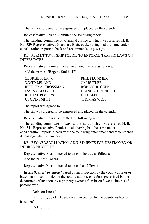The bill was ordered to be engrossed and placed on the calendar.

Representative Leland submitted the following report:

The standing committee on Criminal Justice to which was referred **H. B. No. 539**-Representatives Ghanbari, Blair, et al., having had the same under consideration, reports it back and recommends its passage.

RE: PERMIT TOWNSHIP POLICE TO ENFORCE TRAFFIC LAWS ON INTERSTATES

Representative Plummer moved to amend the title as follows:

Add the names: "Rogers, Smith, T."

GEORGE F. LANG PHIL PLUMMER DAVID LELAND JIM BUTLER JEFFREY A. CROSSMAN ROBERT R. CUPP TAVIA GALONSKI DIANE V. GRENDELL JOHN M. ROGERS BILL SEITZ J. TODD SMITH THOMAS WEST

The report was agreed to.

The bill was ordered to be engrossed and placed on the calendar.

Representative Rogers submitted the following report:

The standing committee on Ways and Means to which was referred **H. B. No. 541**-Representative Perales, et al., having had the same under consideration, reports it back with the following amendment and recommends its passage when so amended.

RE: REGARDS VALUATION ADJUSTMENTS FOR DESTROYED OR INJURED PROPERTY

Representative Merrin moved to amend the title as follows:

Add the name: "Rogers"

Representative Merrin moved to amend as follows:

In line 9, after " $\theta$ " insert "based on an inspection by the county auditor or based on notice provided to the county auditor, on a form prescribed by the department of taxation, by a property owner or"; reinsert "two disinterested persons who"

Reinsert line 10

In line 11, delete "based on an inspection by the county auditor or based on"

Delete line 12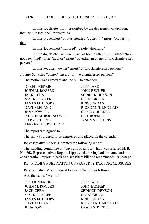In line 13, delete "<u>form prescribed by the department of taxation</u>, that" and insert "the"; reinsert "is"

In line 14, reinsert "or was situated,"; after "it" insert "property that"

In line 43, reinsert "hundred"; delete "thousand"

In line 44, delete "an owner has not filed"; after "form" insert "has not been filed"; after "auditor" insert "by either an owner or two disinterested persons"

In line 56, after "owner" insert "or two disinterested persons"

In line 62, after "<u>owner</u>" insert "or two disinterested persons" The motion was agreed to and the bill so amended.

DEREK MERRIN JEFF LARE JOHN M. ROGERS JOHN BECKER JACK CERA SEDRICK DENSON MARK FRAIZER DOUG GREEN JAMES M. HOOPS KRIS JORDAN DAVID LELAND RIORDAN T. MCCLAIN JENA POWELL CRAIG S. RIEDEL PHILLIP M. ROBINSON, JR. BILL ROEMER GARY SCHERER JASON STEPHENS TERRENCE UPCHURCH

The report was agreed to.

The bill was ordered to be engrossed and placed on the calendar.

Representative Rogers submitted the following report:

The standing committee on Ways and Means to which was referred **H. B. No. 602**-Representatives Rogers, Lipps, et al., having had the same under consideration, reports it back as a substitute bill and recommends its passage.

RE: MODIFY PUBLICATION OF PROPERTY TAX FORECLOSURES

Representative Merrin moved to amend the title as follows:

Add the name: "Merrin"

DEREK MERRIN JEFF LARE JOHN M. ROGERS JOHN BECKER MARK FRAIZER DOUG GREEN JAMES M. HOOPS KRIS JORDAN JENA POWELL CRAIG S. RIEDEL

JACK CERA SEDRICK DENSON DAVID LELAND RIORDAN T. MCCLAIN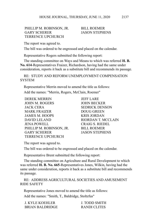### PHILLIP M. ROBINSON, JR. BILL ROEMER GARY SCHERER JASON STEPHENS TERRENCE UPCHURCH

The report was agreed to.

The bill was ordered to be engrossed and placed on the calendar.

Representative Rogers submitted the following report:

The standing committee on Ways and Means to which was referred **H. B. No. 614**-Representatives Fraizer, Richardson, having had the same under consideration, reports it back as a substitute bill and recommends its passage.

RE: STUDY AND REFORM UNEMPLOYMENT COMPENSATION **SYSTEM** 

Representative Merrin moved to amend the title as follows:

Add the names: "Merrin, Rogers, McClain, Roemer"

DEREK MERRIN JEFF LARE JOHN M. ROGERS JOHN BECKER JACK CERA SEDRICK DENSON MARK FRAIZER DOUG GREEN JAMES M. HOOPS KRIS JORDAN DAVID LELAND RIORDAN T. MCCLAIN JENA POWELL CRAIG S. RIEDEL PHILLIP M. ROBINSON, JR. BILL ROEMER GARY SCHERER JASON STEPHENS TERRENCE UPCHURCH

The report was agreed to.

The bill was ordered to be engrossed and placed on the calendar.

Representative Brent submitted the following report:

The standing committee on Agriculture and Rural Development to which was referred **H. B. No. 665**-Representatives Jones, Wilkin, having had the same under consideration, reports it back as a substitute bill and recommends its passage.

RE: ADDRESS AGRICULTURAL SOCIETIES AND AMUSEMENT RIDE SAFETY

Representative Jones moved to amend the title as follows: Add the names: "Smith, T., Baldridge, Stoltzfus"

| <b>J. KYLE KOEHLER</b> | J. TODD SMITH |
|------------------------|---------------|
| <b>BRIAN BALDRIDGE</b> | RANDI CLITES  |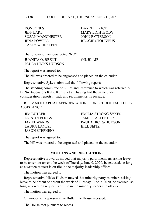DON JONES DARRELL KICK JEFF LARE MARY LIGHTBODY SUSAN MANCHESTER JOHN PATTERSON JENA POWELL REGGIE STOLTZFUS CASEY WEINSTEIN

The following members voted "NO" JUANITA O. BRENT GIL BLAIR PAULA HICKS-HUDSON

The report was agreed to.

The bill was ordered to be engrossed and placed on the calendar.

Representative Sykes submitted the following report:

The standing committee on Rules and Reference to which was referred **S. B. No. 4**-Senators Rulli, Kunze, et al., having had the same under consideration, reports it back and recommends its passage.

RE: MAKE CAPITAL APPROPRIATIONS FOR SCHOOL FACILITIES **ASSISTANCE** 

LAURA LANESE BILL SEITZ JASON STEPHENS

JIM BUTLER EMILIA STRONG SYKES KRISTIN BOGGS JAMIE CALLENDER JAY EDWARDS PAULA HICKS-HUDSON

The report was agreed to.

The bill was ordered to be engrossed and placed on the calendar.

# **MOTIONS AND RESOLUTIONS**

Representative Edwards moved that majority party members asking leave to be absent or absent the week of Tuesday, June 9, 2020, be excused, so long as a written request is on file in the majority leadership offices.

The motion was agreed to.

Representative Hicks-Hudson moved that minority party members asking leave to be absent or absent the week of Tuesday, June 9, 2020, be excused, so long as a written request is on file in the minority leadership offices.

The motion was agreed to.

On motion of Representative Butler, the House recessed.

The House met pursuant to recess.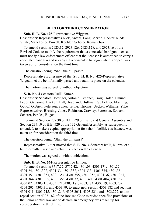### **BILLS FOR THIRD CONSIDERATION**

**Sub. H. B. No. 425**-Representative Wiggam.

Cosponsors: Representatives Kick, Antani, Lang, Merrin, Becker, Riedel, Vitale, Manchester, Powell, Koehler, Scherer, Romanchuk.

To amend sections 2923.12, 2923.126, 2923.128, and 2923.16 of the Revised Code to modify the requirement that a concealed handgun licensee must notify a law enforcement officer that the licensee is authorized to carry a concealed handgun and is carrying a concealed handgun when stopped, was taken up for consideration the third time.

The question being, "Shall the bill pass?"

Representative Butler moved that **Sub. H. B. No. 425-**Representative Wiggam, et al., be informally passed and retain its place on the calendar.

The motion was agreed to without objection.

**S. B. No. 4**-Senators Rulli, Kunze.

Cosponsors: Senators Hottinger, Antonio, Brenner, Craig, Dolan, Eklund, Fedor, Gavarone, Hackett, Hill, Hoagland, Huffman, S., Lehner, Manning, Obhof, O'Brien, Peterson, Sykes, Terhar, Thomas, Uecker, Williams, Yuko Representatives Blessing, Jones, Robinson, Crawley, Patterson, Sobecki, Scherer, Perales, Rogers.

To amend Section 237.30 of H.B. 529 of the 132nd General Assembly and Section 237.10 of H.B. 529 of the 132 General Assembly, as subsequently amended, to make a capital appropriation for school facilities assistance, was taken up for consideration the third time.

The question being, "Shall the bill pass?"

Representative Butler moved that **S. B. No. 4-**Senators Rulli, Kunze, et al., be informally passed and retain its place on the calendar.

The motion was agreed to without objection.

### **Sub. H. B. No. 674**-Representative Hillyer.

To amend sections 3717.22, 3717.42, 4301.03, 4301.171, 4301.22, 4301.24, 4301.322, 4301.33, 4301.332, 4301.333, 4301.334, 4301.35, 4301.351, 4301.353, 4301.354, 4301.355, 4301.356, 4301.36, 4301.361, 4301.364, 4301.365, 4301.366, 4301.37, 4301.403, 4301.404, 4301.82, 4303.021, 4303.15, 4303.171, 4303.181, 4303.184, 4303.19, 4303.202, 4303.205, 4303.30, and 4303.99; to enact new section 4303.182 and sections 4301.011, 4301.245, 4301.246, 4303.2011, 4303.221, and 4303.222; and to repeal section 4303.182 of the Revised Code to revise specified provisions of the liquor control law and to declare an emergency, was taken up for consideration the third time.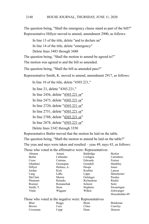The question being, "Shall the emergency clause stand as part of the bill?" Representative Hillyer moved to amend, amendment 2900, as follows:

In line 13 of the title, delete "and to declare an"

In line 14 of the title, delete "emergency"

Delete lines 3483 through 3488

The question being, "Shall the motion to amend be agreed to?"

The motion was agreed to and the bill so amended.

The question being, "Shall the bill as amended pass?"

Representative Smith, K. moved to amend, amendment 2917, as follows:

In line 10 of the title, delete "4303.221,"

In line 23, delete "4303.221,"

In line 2456, delete "4303.221 or"

In line 2473, delete "4303.221 or"

In line 2720, delete "4303.221 or"

In line 2751, delete "4303.221 or"

In line 2788, delete "4303.221 or"

In line 2878, delete "4303.221 or"

Delete lines 3342 through 3350

Representative Butler moved that the motion be laid on the table.

The question being, "Shall the motion to amend be laid on the table?"

The yeas and nays were taken and resulted – yeas 49, nays 43, as follows:

Those who voted in the affirmative were: Representatives

| Abrams    | Antani     | Baldridge       | <b>Becker</b>  |
|-----------|------------|-----------------|----------------|
| Butler    | Callender  | Carfagna        | Carruthers     |
| Cross     | Cutrona    | Edwards         | Fraizer        |
| Ghanbari  | Greenspan  | Grendell        | Hambley        |
| Hillyer   | Holmes, A. | Hoops           | Jones          |
| Jordan    | Kick       | Koehler         | Lanese         |
| Lang      | LaRe       | Lipps           | Manchester     |
| McClain   | Merrin     | Oelslager       | Perales        |
| Plummer   | Reineke    | Richardson      | Riedel         |
| Roemer    | Romanchuk  | Scherer         | Seitz          |
| Smith, T. | Stein      | <b>Stephens</b> | Swearingen     |
| Vitale    | Wiggam     | Wilkin          | Zeltwanger     |
|           |            |                 | Householder-49 |
|           |            |                 |                |

|  |  |  | Those who voted in the negative were: Representatives |
|--|--|--|-------------------------------------------------------|
|--|--|--|-------------------------------------------------------|

| Blair        | <b>Boggs</b> | <b>Brent</b> | Brinkman |
|--------------|--------------|--------------|----------|
| <b>Brown</b> | Cera         | Clites       | Crawley  |
| Crossman     | Cupp         | Dean         | Denson   |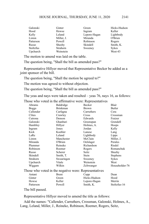| Galonski  | Ginter     | Green        | Hicks-Hudson |
|-----------|------------|--------------|--------------|
| Hood      | Howse      | Ingram       | Keller       |
| Kelly     | Leland     | Lepore-Hagan | Lightbody    |
| Liston    | Miller, J. | Miranda      | O'Brien      |
| Patterson | Powell     | Robinson     | Rogers       |
| Russo     | Sheehy     | Skindell     | Smith, K.    |
| Stoltzfus | Strahorn   | Sweeney      | <b>Sykes</b> |
| Upchurch  | Weinstein  |              | West-43      |

The motion to amend was laid on the table.

The question being, "Shall the bill as amended pass?"

Representative Hillyer moved that Representative Becker be added as a joint sponsor of the bill.

The question being, "Shall the motion be agreed to?"

The motion was agreed to without objection.

The question being, "Shall the bill as amended pass?"

The yeas and nays were taken and resulted – yeas 76, nays 16, as follows:

Those who voted in the affirmative were: Representatives

| Abrams       | Baldridge  | <b>Becker</b>                                         | Blair           |
|--------------|------------|-------------------------------------------------------|-----------------|
| <b>Boggs</b> | Brinkman   | <b>Brown</b>                                          | Butler          |
| Callender    | Carfagna   | Carruthers                                            | Cera            |
| Clites       | Crawley    | Cross                                                 | Crossman        |
| Cutrona      | Denson     | Edwards                                               | Fraizer         |
| Galonski     | Ghanbari   | Greenspan                                             | Grendell        |
| Hambley      | Hillyer    | Holmes, A.                                            | Hoops           |
| Ingram       | Jones      | Jordan                                                | Kelly           |
| Kick         | Koehler    | Lanese                                                | Lang            |
| LaRe         | Leland     | Lightbody                                             | Lipps           |
| Liston       | Manchester | McClain                                               | Miller, J.      |
| Miranda      | O'Brien    | Oelslager                                             | Perales         |
| Plummer      | Reineke    | Richardson                                            | Riedel          |
| Robinson     | Roemer     | Rogers                                                | Romanchuk       |
| Russo        | Scherer    | Seitz                                                 | Sheehy          |
| Skindell     | Smith, T.  | Stein                                                 | <b>Stephens</b> |
| Strahorn     | Swearingen | Sweeney                                               | Sykes           |
| Upchurch     | Vitale     | Weinstein                                             | West            |
| Wiggam       | Wilkin     | Zeltwanger                                            | Householder-76  |
|              |            | Those who voted in the negative were: Representatives |                 |

Antani Brent Cupp Dean Ginter Green Hicks-Hudson Hood Howse Keller Lepore-Hagan Merrin Patterson Powell Smith, K. Stoltzfus-16

The bill passed.

Representative Hillyer moved to amend the title as follows:

Add the names: "Callender, Carruthers, Crossman, Galonski, Holmes, A., Lang, Leland, Miller, J., Reineke, Robinson, Roemer, Rogers, Seitz,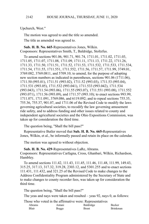Upchurch, West."

The motion was agreed to and the title so amended.

The title as amended was agreed to.

**Sub. H. B. No. 665**-Representatives Jones, Wilkin. Cosponsors: Representatives Smith, T., Baldridge, Stoltzfus.

To amend sections 901.06, 901.71, 901.74, 1711.01, 1711.02, 1711.03, 1711.05, 1711.07, 1711.08, 1711.09, 1711.11, 1711.13, 1711.22, 1711.26, 1711.33, 1711.50, 1711.51, 1711.52, 1711.53, 1711.532, 1711.533, 1711.534, 1711.54, 1711.55, 1711.551, 1711.552, 1711.56, 1711.57, 1711.99, 3749.01, 3769.082, 3769.0811, and 5709.10; to amend, for the purpose of adopting new section numbers as indicated in parentheses, sections 901.06 (1711.06), 1711.50 (993.01), 1711.51 (993.02), 1711.52 (993.03), 1711.53 (993.04), 1711.531 (993.05), 1711.532 (993.041), 1711.533 (993.042), 1711.534 (993.043), 1711.54 (993.06), 1711.55 (993.07), 1711.551 (993.08), 1711.552 (993.071), 1711.56 (993.09), and 1711.57 (993.10); to enact sections 993.99, 1711.071, 1711.091, 3769.086, and 6119.092; and to repeal sections 755.35, 755.36, 755.37, 901.07, and 1711.06 of the Revised Code to modify the laws governing agricultural societies, to recodify the law governing amusement ride safety, and to address funding and other issues related to county and independent agricultural societies and the Ohio Expositions Commission, was taken up for consideration the third time.

The question being, "Shall the bill pass?"

Representative Butler moved that **Sub. H. B. No. 665-**Representatives Jones, Wilkin, et al., be informally passed and retain its place on the calendar.

The motion was agreed to without objection.

**Sub. H. B. No. 429**-Representatives LaRe, Abrams.

Cosponsors: Representatives Carfagna, Cross, Ghanbari, Wilkin, Richardson, Hambley.

To amend sections 111.42, 111.43, 111.45, 111.46, 111.48, 111.99, 149.43, 315.25, 317.13, 317.32, 319.28, 2303.12, and 5301.255 and to enact sections 111.431, 111.432, and 321.25 of the Revised Code to make changes to the Address Confidentiality Program administered by the Secretary of State and to make changes to county recorder fees, was taken up for consideration the third time.

The question being, "Shall the bill pass?"

The yeas and nays were taken and resulted – yeas 92, nays 0, as follows:

Those who voted in the affirmative were: Representatives

| Abrams | Antani | Baldridge | Becker          |
|--------|--------|-----------|-----------------|
| Blair  | Boggs  | Brent     | <b>Brinkman</b> |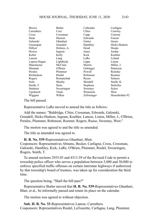| <b>Brown</b> | Butler     | Callender       | Carfagna       |
|--------------|------------|-----------------|----------------|
| Carruthers   | Cera       | Clites          | Crawley        |
| Cross        | Crossman   | Cupp            | Cutrona        |
| Dean         | Denson     | Edwards         | Fraizer        |
| Galonski     | Ghanbari   | Ginter          | Green          |
| Greenspan    | Grendell   | Hambley         | Hicks-Hudson   |
| Hillyer      | Holmes, A. | Hood            | Hoops          |
| Howse        | Ingram     | Jones           | Jordan         |
| Keller       | Kelly      | Kick            | Koehler        |
| Lanese       | Lang       | LaRe            | Leland         |
| Lepore-Hagan | Lightbody  | Lipps           | Liston         |
| Manchester   | McClain    | Merrin          | Miller, J.     |
| Miranda      | O'Brien    | Oelslager       | Patterson      |
| Perales      | Plummer    | Powell          | Reineke        |
| Richardson   | Riedel     | Robinson        | Roemer         |
| Rogers       | Romanchuk  | Russo           | Scherer        |
| Seitz        | Sheehy     | Skindell        | Smith, K.      |
| Smith, T.    | Stein      | <b>Stephens</b> | Stoltzfus      |
| Strahorn     | Swearingen | Sweeney         | Sykes          |
| Upchurch     | Vitale     | Weinstein       | West           |
| Wiggam       | Wilkin     | Zeltwanger      | Householder-92 |

The bill passed.

Representative LaRe moved to amend the title as follows:

Add the names: "Baldridge, Clites, Crossman, Edwards, Galonski, Grendell, Hicks-Hudson, Ingram, Koehler, Lanese, Liston, Miller, J., O'Brien, Perales, Plummer, Robinson, Roemer, Rogers, Russo, Sweeney, West."

The motion was agreed to and the title so amended.

The title as amended was agreed to.

**H. B. No. 539**-Representatives Ghanbari, Blair.

Cosponsors: Representatives Abrams, Becker, Carfagna, Cross, Crossman, Galonski, Hambley, Kick, LaRe, O'Brien, Plummer, Riedel, Swearingen, Rogers, Smith, T.

To amend sections 2935.03 and 4513.39 of the Revised Code to permit a township police officer who serves a population between 5,000 and 50,000 to enforce specified traffic offenses on certain interstate highways if authorized by that township's board of trustees, was taken up for consideration the third time.

The question being, "Shall the bill pass?"

Representative Butler moved that **H. B. No. 539-**Representatives Ghanbari, Blair, et al., be informally passed and retain its place on the calendar.

The motion was agreed to without objection.

**Sub. H. B. No. 33**-Representatives Lanese, Carruthers. Cosponsors: Representatives Riedel, LaTourette, Carfagna, Lang, Plummer,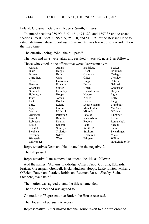### HOUSE JOURNAL, THURSDAY, JUNE 11, 2020 2144

Leland, Crossman, Galonski, Rogers, Smith, T., West.

To amend sections 959.99, 2151.421, 4741.22, and 4757.36 and to enact sections 959.07, 959.08, 959.09, 959.10, and 5101.93 of the Revised Code to establish animal abuse reporting requirements, was taken up for consideration the third time.

The question being, "Shall the bill pass?"

The yeas and nays were taken and resulted – yeas 90, nays 2, as follows:

|                 |              | hose who voice in the annihilative were, respresentatives |                 |
|-----------------|--------------|-----------------------------------------------------------|-----------------|
| Abrams          | Antani       | Baldridge                                                 | Becker          |
| Blair           | <b>Boggs</b> | Brent                                                     | <b>Brinkman</b> |
| <b>Brown</b>    | Butler       | Callender                                                 | Carfagna        |
| Carruthers      | Cera         | Clites                                                    | Crawley         |
| Cross           | Crossman     | Cupp                                                      | Cutrona         |
| Denson          | Edwards      | Fraizer                                                   | Galonski        |
| Ghanbari        | Ginter       | Green                                                     | Greenspan       |
| Grendell        | Hambley      | Hicks-Hudson                                              | Hillyer         |
| Holmes, A.      | Hoops        | Howse                                                     | Ingram          |
| Jones           | Jordan       | Keller                                                    | Kelly           |
| Kick            | Koehler      | Lanese                                                    | Lang            |
| LaRe            | Leland       | Lepore-Hagan                                              | Lightbody       |
| Lipps           | Liston       | Manchester                                                | McClain         |
| Merrin          | Miller, J.   | Miranda                                                   | O'Brien         |
| Oelslager       | Patterson    | Perales                                                   | Plummer         |
| Powell          | Reineke      | Richardson                                                | Riedel          |
| Robinson        | Roemer       | Rogers                                                    | Romanchuk       |
| Russo           | Scherer      | Seitz                                                     | Sheehy          |
| Skindell        | Smith, K.    | Smith, T.                                                 | Stein           |
| <b>Stephens</b> | Stoltzfus    | Strahorn                                                  | Swearingen      |
| Sweeney         | Sykes        | Upchurch                                                  | Vitale          |
| Weinstein       | West         | Wiggam                                                    | Wilkin          |
| Zeltwanger      |              |                                                           | Householder-90  |

Those who voted in the affirmative were: Representatives

Representatives Dean and Hood voted in the negative-2.

The bill passed.

Representative Lanese moved to amend the title as follows:

Add the names: "Abrams, Baldridge, Clites, Cupp, Cutrona, Edwards, Fraizer, Greenspan, Grendell, Hicks-Hudson, Hoops, LaRe, Liston, Miller, J., O'Brien, Patterson, Perales, Robinson, Roemer, Russo, Sheehy, Stein, Stephens, Weinstein."

The motion was agreed to and the title so amended.

The title as amended was agreed to.

On motion of Representative Butler, the House recessed.

The House met pursuant to recess.

Representative Butler moved that the House revert to the fifth order of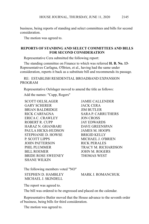business, being reports of standing and select committees and bills for second consideration.

The motion was agreed to.

### **REPORTS OF STANDING AND SELECT COMMITTEES AND BILLS FOR SECOND CONSIDERATION**

Representative Cera submitted the following report:

The standing committee on Finance to which was referred **H. B. No. 13**- Representatives Carfagna, O'Brien, et al., having had the same under consideration, reports it back as a substitute bill and recommends its passage.

RE: ESTABLISH RESIDENTIAL BROADBAND EXPANSION PROGRAM

Representative Oelslager moved to amend the title as follows:

Add the names: "Cupp, Rogers"

SCOTT OELSLAGER JAMIE CALLENDER GARY SCHERER JACK CERA BRIAN BALDRIDGE JIM BUTLER RICK CARFAGNA SARA P. CARRUTHERS ERICA C. CRAWLEY JON CROSS ROBERT R. CUPP JAY EDWARDS HARAZ N. GHANBARI DAVE GREENSPAN PAULA HICKS-HUDSON JAMES M. HOOPS STEPHANIE D. HOWSE BRIGID KELLY P. SCOTT LIPPS MICHAEL J. O'BRIEN JOHN PATTERSON RICK PERALES BILL ROEMER JOHN M. ROGERS BRIDE ROSE SWEENEY THOMAS WEST SHANE WILKIN

PHIL PLUMMER TRACY M. RICHARDSON

The following members voted "NO"

STEPHEN D. HAMBLEY MARK J. ROMANCHUK MICHAEL J. SKINDELL

The report was agreed to.

The bill was ordered to be engrossed and placed on the calendar.

Representative Butler moved that the House advance to the seventh order of business, being bills for third consideration.

The motion was agreed to.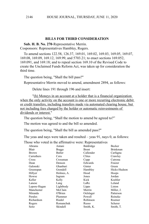### **BILLS FOR THIRD CONSIDERATION**

**Sub. H. B. No. 270**-Representative Merrin. Cosponsors: Representatives Hambley, Rogers.

To amend sections 122.58, 126.37, 169.01, 169.02, 169.03, 169.05, 169.07, 169.08, 169.09, 169.12, 169.99, and 5703.21; to enact sections 169.052, 169.091, and 169.18; and to repeal section 169.10 of the Revised Code to create the Unclaimed Funds Reform Act, was taken up for consideration the third time.

The question being, "Shall the bill pass?"

Representative Merrin moved to amend, amendment 2894, as follows:

Delete lines 191 through 196 and insert:

"(h) Moneys in an account at a holder that is a financial organization when the only activity on the account is one or more recurring electronic debit or credit transfers, including transfers made via automated clearing house, but not including fees charged by the holder or automatic reinvestments of dividends or interest."

The question being, "Shall the motion to amend be agreed to?"

The motion was agreed to and the bill so amended.

The question being, "Shall the bill as amended pass?"

The yeas and nays were taken and resulted – yeas 91, nays 0, as follows:

Those who voted in the affirmative were: Representatives

| Abrams       | Antani       | Baldridge | Becker                                               |
|--------------|--------------|-----------|------------------------------------------------------|
| Blair        | <b>Boggs</b> | Brent     | Brinkman                                             |
| <b>Brown</b> | Butler       | Callender | Carfagna                                             |
| Carruthers   | Cera         | Clites    | Crawley                                              |
| Cross        | Crossman     | Cupp      | Cutrona                                              |
| Dean         | Denson       | Edwards   | Fraizer                                              |
| Galonski     | Ghanbari     | Ginter    | Green                                                |
| Greenspan    | Grendell     | Hambley   | Hicks-Hudson                                         |
| Hillyer      | Holmes, A.   | Hood      | Hoops                                                |
| Howse        | Ingram       | Jones     | Jordan                                               |
| Keller       | Kelly        | Kick      | Koehler                                              |
| Lanese       | Lang         | LaRe      | Leland                                               |
| Lepore-Hagan | Lightbody    | Lipps     | Liston                                               |
| Manchester   | McClain      | Merrin    | Miller, J.                                           |
| Miranda      | O'Brien      | Oelslager | Patterson                                            |
| Perales      | Plummer      | Powell    | Reineke                                              |
| Richardson   | Riedel       | Robinson  | Roemer                                               |
| Rogers       | Romanchuk    | Russo     | Scherer                                              |
| Seitz        | Skindell     | Smith, K. | Smith, T.                                            |
|              |              |           | who voice in the annihilar to were, respresentant to |

2146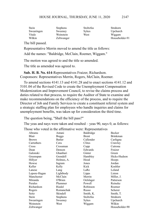| Stein      | <b>Stephens</b> | Stoltzfus | Strahorn       |
|------------|-----------------|-----------|----------------|
| Swearingen | Sweeney         | Sykes     | Upchurch       |
| Vitale     | Weinstein       | West      | Wiggam         |
| Wilkin     | Zeltwanger      |           | Householder-91 |

The bill passed.

Representative Merrin moved to amend the title as follows:

Add the names: "Baldridge, McClain, Roemer, Wiggam."

The motion was agreed to and the title so amended.

The title as amended was agreed to.

**Sub. H. B. No. 614**-Representatives Fraizer, Richardson. Cosponsors: Representatives Merrin, Rogers, McClain, Roemer.

To amend sections 4141.13 and 4141.28 and to enact sections 4141.12 and 5101.04 of the Revised Code to create the Unemployment Compensation Modernization and Improvement Council, to revise the claims process and duties related to that process, to require the Auditor of State to examine and make recommendations on the efficiency of the process, and to require the Director of Job and Family Services to create a constituent referral system and a strategic staffing plan for employees who handle inquiries and claims for unemployment benefits, was taken up for consideration the third time.

The question being, "Shall the bill pass?"

The yeas and nays were taken and resulted – yeas 90, nays 0, as follows:

Those who voted in the affirmative were: Representatives

| Abrams       | Antani       | Baldridge    | Becker          |
|--------------|--------------|--------------|-----------------|
| Blair        | <b>Boggs</b> | <b>Brent</b> | <b>Brinkman</b> |
| <b>Brown</b> | Butler       | Callender    | Carfagna        |
| Carruthers   | Cera         | Clites       | Crawley         |
| Cross        | Crossman     | Cupp         | Cutrona         |
| Dean         | Denson       | Edwards      | Fraizer         |
| Galonski     | Ghanbari     | Ginter       | Green           |
| Greenspan    | Grendell     | Hambley      | Hicks-Hudson    |
| Hillyer      | Holmes, A.   | Hood         | Hoops           |
| Howse        | Ingram       | Jones        | Jordan          |
| Keller       | Kelly        | Kick         | Koehler         |
| Lanese       | Lang         | LaRe         | Leland          |
| Lepore-Hagan | Lightbody    | Lipps        | Liston          |
| Manchester   | McClain      | Merrin       | Miller, J.      |
| Miranda      | O'Brien      | Oelslager    | Patterson       |
| Perales      | Plummer      | Powell       | Reineke         |
| Richardson   | Riedel       | Robinson     | Roemer          |
| Rogers       | Romanchuk    | Russo        | Scherer         |
| Seitz        | Skindell     | Smith, K.    | Smith, T.       |
| Stein        | Stephens     | Stoltzfus    | Strahorn        |
| Swearingen   | Sweeney      | Sykes        | Upchurch        |
| Weinstein    | West         | Wiggam       | Wilkin          |
| Zeltwanger   |              |              | Householder-90  |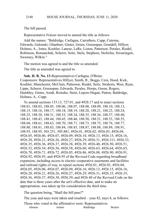The bill passed.

Representative Fraizer moved to amend the title as follows:

Add the names: "Baldridge, Carfagna, Carruthers, Cupp, Cutrona, Edwards, Galonski, Ghanbari, Ginter, Green, Greenspan, Grendell, Hillyer, Holmes, A., Jones, Koehler, Lanese, LaRe, Liston, Patterson, Perales, Riedel, Robinson, Romanchuk, Scherer, Seitz, Stein, Stephens, Stoltzfus, Swearingen, Sweeney, Wilkin."

The motion was agreed to and the title so amended.

The title as amended was agreed to.

**Sub. H. B. No. 13**-Representatives Carfagna, O'Brien. Cosponsors: Representatives Hillyer, Smith, R., Boggs, Cera, Hood, Kick, Koehler, Manchester, McClain, Patterson, Riedel, Seitz, Strahorn, West, Ryan, Lipps, Scherer, Greenspan, Edwards, Perales, Hoops, Green, Rogers, Hambley, Ginter, Arndt, Reineke, Stein, Lepore-Hagan, Patton, Baldridge, Holmes, A., Cupp.

To amend sections 133.13, 727.01, and 4928.17 and to enact sections 188.01, 188.03, 188.05, 188.06, 188.07, 188.08, 188.09, 188.10, 188.13, 188.15, 188.16, 188.17, 188.18, 188.19, 188.20, 188.21, 188.23, 188.24, 188.25, 188.30, 188.31, 188.33, 188.34, 188.35, 188.36, 188.37, 188.40, 188.41, 188.43, 188.44, 188.45, 188.46, 188.50, 188.51, 188.53, 188.55, 188.60, 188.61, 188.63, 188.70, 188.71, 188.73, 188.75, 188.76, 188.77, 188.80, 188.81, 188.83, 188.84, 188.85, 188.87, 188.88, 188.89, 188.91, 188.93, 188.95, 303.251, 505.881, 4926.01, 4926.02, 4926.03, 4926.04, 4926.05, 4926.06, 4926.07, 4926.09, 4926.10, 4926.13, 4926.15, 4926.16, 4926.20, 4926.21, 4926.26, 4926.27, 4926.29, 4926.31, 4926.311, 4926.33, 4926.35, 4926.36, 4926.37, 4926.38, 4926.39, 4926.40, 4926.50, 4926.51, 4926.52, 4926.54, 4926.56, 4926.58, 4926.60, 4926.63, 4926.64, 4926.65, 4926.70, 4926.71, 4926.72, 4926.85, 4926.86, 4926.88, 4926.90, 4926.91, 4926.92, 4926.93, and 4926.95 of the Revised Code regarding broadband expansion, including access to electric cooperative easements and facilities and railroad rights of way, to repeal sections 4926.01, 4926.03, 4926.04, 4926.05, 4926.06, 4926.07, 4926.09, 4926.10, 4926.13, 4926.15, 4926.16, 4926.20, 4926.21, 4926.26, 4926.27, 4926.29, 4926.31, 4926.33, 4926.35, 4926.36, 4926.37, 4926.38, 4926.39, and 4926.40 of the Revised Code on the date that is three years after the act's effective date, and to make an appropriation, was taken up for consideration the third time.

The question being, "Shall the bill pass?"

The yeas and nays were taken and resulted – yeas 82, nays 8, as follows:

Those who voted in the affirmative were: Representatives

| Baldridge<br>Antani<br>Abrams | Becker |
|-------------------------------|--------|
|-------------------------------|--------|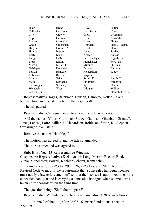| Blair      | Brent      | Brown        | Butler         |
|------------|------------|--------------|----------------|
| Callender  | Carfagna   | Carruthers   | Cera           |
| Clites     | Crawley    | Cross        | Crossman       |
| Cupp       | Cutrona    | Dean         | Edwards        |
| Fraizer    | Galonski   | Ghanbari     | Ginter         |
| Green      | Greenspan  | Grendell     | Hicks-Hudson   |
| Hillyer    | Holmes, A. | Hood         | Hoops          |
| Howse      | Ingram     | Jones        | Jordan         |
| Kelly      | Kick       | Koehler      | Lanese         |
| Lang       | LaRe       | Lepore-Hagan | Lightbody      |
| Lipps      | Liston     | Manchester   | McClain        |
| Merrin     | Miller, J. | Miranda      | O'Brien        |
| Oelslager  | Patterson  | Perales      | Plummer        |
| Powell     | Reineke    | Richardson   | Riedel         |
| Robinson   | Roemer     | Rogers       | Russo          |
| Scherer    | Seitz      | Smith, K.    | Smith, T.      |
| Stein      | Stephens   | Stoltzfus    | Strahorn       |
| Swearingen | Sweeney    | Sykes        | Upchurch       |
| Weinstein  | West       | Wiggam       | Wilkin         |
| Zeltwanger |            |              | Householder-82 |

Representatives Boggs, Brinkman, Denson, Hambley, Keller, Leland, Romanchuk, and Skindell voted in the negative-8.

The bill passed.

Representative Carfagna moved to amend the title as follows:

Add the names: "Clites, Crossman, Fraizer, Galonski, Ghanbari, Grendell, Jones, Lanese, LaRe, Miller, J., Richardson, Robinson, Smith, K., Stephens, Swearingen, Weinstein."

Remove the name: "Hambley."

The motion was agreed to and the title so amended.

The title as amended was agreed to.

### **Sub. H. B. No. 425**-Representative Wiggam.

Cosponsors: Representatives Kick, Antani, Lang, Merrin, Becker, Riedel, Vitale, Manchester, Powell, Koehler, Scherer, Romanchuk.

To amend sections 2923.12, 2923.126, 2923.128, and 2923.16 of the Revised Code to modify the requirement that a concealed handgun licensee must notify a law enforcement officer that the licensee is authorized to carry a concealed handgun and is carrying a concealed handgun when stopped, was taken up for consideration the third time.

The question being, "Shall the bill pass?"

Representative Miranda moved to amend, amendment 2804, as follows:

In line 2 of the title, after "2923.16" insert "and to enact section 2923.191"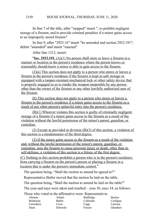In line 7 of the title, after "stopped" insert ", to prohibit negligent storage of a firearm, and to provide criminal penalties if a minor gains access to an improperly stored firearm"

In line 9, after "2923.16" insert "be amended and section 2923.191"; delete "amended" and insert "enacted"

After line 1212, insert:

"**Sec. 2923.191.** (A)(1) No person shall store or leave a firearm in a manner or location in the person's residence where the person knows or reasonably should know a minor is able to gain access to the firearm.

(2)(a) This section does not apply to a person who stores or leaves a firearm in the person's residence if the firearm is kept in safe storage or equipped with a tamper-resistant mechanical lock or other safety device that is properly engaged so as to render the weapon inoperable by any person other than the owner of the firearm or any other lawfully authorized user of the firearm.

(b) This section does not apply to a person who stores or leaves a firearm in the person's residence if a minor gains access to the firearm as a result of any other person's unlawful entry into the person's residence.

(B)(1) Whoever violates this section is guilty of criminally negligent storage of a firearm if a minor gains access to the firearm as a result of the violation without the lawful permission of the minor's parent, guardian, or custodian.

(2) Except as provided in division (B)(3) of this section, a violation of this section is a misdemeanor of the third degree.

(3) If the minor gains access to the firearm as a result of the violation and, without the lawful permission of the minor's parent, guardian, or custodian, uses the firearm to cause personal injury or death, other than in self-defense, a violation of this section is a felony of the first degree.

(C) Nothing in this section prohibits a person who is in the person's residence from carrying a firearm on the person's person or placing a firearm in a location that is under the person's immediate control."

The question being, "Shall the motion to amend be agreed to?"

Representative Butler moved that the motion be laid on the table.

The question being, "Shall the motion to amend be laid on the table?"

The yeas and nays were taken and resulted – yeas 56, nays 34, as follows:

Those who voted in the affirmative were: Representatives

| Abrams          | Antani        | Baldridge | Becker   |
|-----------------|---------------|-----------|----------|
| <b>Brinkman</b> | <b>Butler</b> | Callender | Carfagna |
| Carruthers      | Cross         | Cupp      | Cutrona  |
| Dean            | Edwards       | Fraizer   | Ghanbari |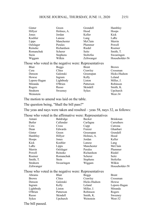| Ginter                                                | Green           | Grendell     | Hambley        |
|-------------------------------------------------------|-----------------|--------------|----------------|
| Hillyer                                               | Holmes, A.      | Hood         | Hoops          |
| Jones                                                 | Jordan          | Keller       | Kick           |
| Koehler                                               | Lanese          | Lang         | LaRe           |
| Lipps                                                 | Manchester      | McClain      | Merrin         |
| Oelslager                                             | Perales         | Plummer      | Powell         |
| Reineke                                               | Richardson      | Riedel       | Roemer         |
| Romanchuk                                             | Scherer         | Seitz        | Smith, T.      |
| Stein                                                 | <b>Stephens</b> | Stoltzfus    | Swearingen     |
| Wiggam                                                | Wilkin          | Zeltwanger   | Householder-56 |
| Those who voted in the negative were: Representatives |                 |              |                |
| Blair                                                 | <b>Boggs</b>    | <b>Brent</b> | <b>Brown</b>   |
| Cera                                                  | Clites          | Crawley      | Crossman       |
| Denson                                                | Galonski        | Greenspan    | Hicks-Hudson   |
| Howse                                                 | Ingram          | Kelly        | Leland         |
| Lepore-Hagan                                          | Lightbody       | Liston       | Miller, J.     |
| Miranda                                               | O'Brien         | Patterson    | Robinson       |
| Rogers                                                | Russo           | Skindell     | Smith, K.      |
| Strahorn                                              | Sweeney         | Sykes        | Upchurch       |
| Weinstein                                             |                 |              | West-34        |
|                                                       |                 |              |                |

The motion to amend was laid on the table.

The question being, "Shall the bill pass?"

The yeas and nays were taken and resulted – yeas 58, nays 32, as follows:

Those who voted in the affirmative were: Representatives

| Antani     | Baldridge    | Becker          | <b>Brinkman</b> |
|------------|--------------|-----------------|-----------------|
| Butler     | Callender    | Carfagna        | Carruthers      |
| Cera       | <b>Cross</b> | Cupp            | Cutrona         |
| Dean       | Edwards      | Fraizer         | Ghanbari        |
| Ginter     | Green        | Greenspan       | Grendell        |
| Hambley    | Hillyer      | Holmes, A.      | Hood            |
| Hoops      | Jones        | Jordan          | Keller          |
| Kick       | Koehler      | Lanese          | Lang            |
| LaRe       | Lipps        | Manchester      | McClain         |
| Merrin     | Oelslager    | Perales         | Plummer         |
| Powell     | Reineke      | Richardson      | Riedel          |
| Roemer     | Romanchuk    | Scherer         | Seitz           |
| Smith, T.  | Stein        | <b>Stephens</b> | Stoltzfus       |
| Strahorn   | Swearingen   | Wiggam          | Wilkin          |
| Zeltwanger |              |                 | Householder-58  |
|            |              |                 |                 |

Those who voted in the negative were: Representatives

| Abrams       | Blair     | <b>Boggs</b> | <b>Brent</b> |
|--------------|-----------|--------------|--------------|
| <b>Brown</b> | Clites    | Crawley      | Crossman     |
| Denson       | Galonski  | Hicks-Hudson | Howse        |
| Ingram       | Kelly     | Leland       | Lepore-Hagan |
| Lightbody    | Liston    | Miller, J.   | Miranda      |
| O'Brien      | Patterson | Robinson     | Rogers       |
| Russo        | Skindell  | Smith, K.    | Sweeney      |
| Sykes        | Upchurch  | Weinstein    | West-32      |
|              |           |              |              |

The bill passed.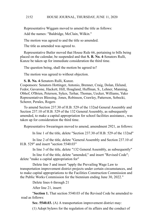Representative Wiggam moved to amend the title as follows: Add the names: "Baldridge, McClain, Wilkin."

The motion was agreed to and the title so amended.

The title as amended was agreed to.

Representative Butler moved that House Rule 66, pertaining to bills being placed on the calendar, be suspended and that **S. B. No. 4**-Senators Rulli, Kunze be taken up for immediate consideration the third time.

The question being, shall the motion be agreed to?

The motion was agreed to without objection.

**S. B. No. 4**-Senators Rulli, Kunze.

Cosponsors: Senators Hottinger, Antonio, Brenner, Craig, Dolan, Eklund, Fedor, Gavarone, Hackett, Hill, Hoagland, Huffman, S., Lehner, Manning, Obhof, O'Brien, Peterson, Sykes, Terhar, Thomas, Uecker, Williams, Yuko Representatives Blessing, Jones, Robinson, Crawley, Patterson, Sobecki, Scherer, Perales, Rogers

To amend Section 237.30 of H.B. 529 of the 132nd General Assembly and Section 237.10 of H.B. 529 of the 132 General Assembly, as subsequently amended, to make a capital appropriation for school facilities assistance., was taken up for consideration the third time.

Representative Swearingen moved to amend, amendment 2921, as follows:

In line 1 of the title, delete "Section 237.30 of H.B. 529 of the 132nd"

In line 2 of the title, delete "General Assembly and Section 237.10 of H.B. 529" and insert "section 5540.03"

In line 3 of the title, delete "132 General Assembly, as subsequently"

In line 4 of the title, delete "amended," and insert "Revised Code"; delete "make a capital appropriation for"

Delete line 5 and insert "apply the Prevailing Wage Law to transportation improvement district projects under certain circumstances, and to make capital appropriations to the Facilities Construction Commission and the Public Works Commission for the biennium ending June 30, 2022."

Delete lines 6 through 21

After line 21, insert:

"**Section 1.** That section 5540.03 of the Revised Code be amended to read as follows:

**Sec. 5540.03.** (A) A transportation improvement district may:

(1) Adopt bylaws for the regulation of its affairs and the conduct of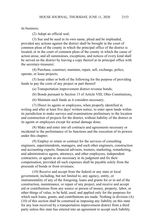its business;

(2) Adopt an official seal;

(3) Sue and be sued in its own name, plead and be impleaded, provided any actions against the district shall be brought in the court of common pleas of the county in which the principal office of the district is located, or in the court of common pleas of the county in which the cause of action arose, and all summonses, exceptions, and notices of every kind shall be served on the district by leaving a copy thereof at its principal office with the secretary-treasurer;

(4) Purchase, construct, maintain, repair, sell, exchange, police, operate, or lease projects;

(5) Issue either or both of the following for the purpose of providing funds to pay the costs of any project or part thereof:

(a) Transportation improvement district revenue bonds;

(b) Bonds pursuant to Section 13 of Article VIII, Ohio Constitution;.

(6) Maintain such funds as it considers necessary;

(7) Direct its agents or employees, when properly identified in writing and after at least five days' written notice, to enter upon lands within its jurisdiction to make surveys and examinations preliminary to the location and construction of projects for the district, without liability of the district or its agents or employees except for actual damage done;

(8) Make and enter into all contracts and agreements necessary or incidental to the performance of its functions and the execution of its powers under this chapter;

(9) Employ or retain or contract for the services of consulting engineers, superintendents, managers, and such other engineers, construction and accounting experts, financial advisers, trustees, marketing, remarketing, and administrative agents, attorneys, and other employees, independent contractors, or agents as are necessary in its judgment and fix their compensation, provided all such expenses shall be payable solely from the proceeds of bonds or from revenues;

(10) Receive and accept from the federal or any state or local government, including, but not limited to, any agency, entity, or instrumentality of any of the foregoing, loans and grants for or in aid of the construction, maintenance, or repair of any project, and receive and accept aid or contributions from any source or person of money, property, labor, or other things of value, to be held, used, and applied only for the purposes for which such loans, grants, and contributions are made. Nothing in division (A) (10) of this section shall be construed as imposing any liability on this state for any loan received by a transportation improvement district from a third party unless this state has entered into an agreement to accept such liability.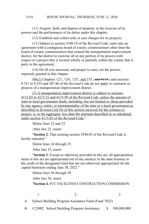### HOUSE JOURNAL, THURSDAY, JUNE 11, 2020 2154

(11) Acquire, hold, and dispose of property in the exercise of its powers and the performance of its duties under this chapter;

(12) Establish and collect tolls or user charges for its projects;

(13) Subject to section 5540.18 of the Revised Code, enter into an agreement with a contiguous board of county commissioners other than the board of county commissioners that created the transportation improvement district, for the district to exercise all or any portion of its powers with respect to a project that is located wholly or partially within the county that is party to the agreement;

(14) Do all acts necessary and proper to carry out the powers expressly granted in this chapter.

 $(B)(1)$  Chapters 123., 124., 125., and 153., and 4115., and sections 9.331 to 9.335 and 307.86 of the Revised Code do not apply to contracts or projects of a transportation improvement district.

(2) A transportation improvement district is subject to sections 4115.03 to 4115.21 and 4115.99 of the Revised Code, unless the amount of state or local government funds, including, but not limited to, those provided by any agency, entity, or instrumentality of the state or a local government as described in division (A)(10) of this section received for the contract or project, is, in the aggregate, less than the amounts described in or calculated under section 4115.03 of the Revised Code."

Delete lines 22 and 23

After line 23, insert:

"**Section 2.** That existing section 5540.03 of the Revised Code is hereby repealed."

Delete lines 24 through 35

After line 35, insert:

"**Section 3.** Except as otherwise provided in this act, all appropriation items in this act are appropriated out of any moneys in the state treasury to the credit of the designated fund that are not otherwise appropriated for the capital biennium ending June 30, 2022."

Delete lines 36 through 38

After line 38, insert:

"**Section 4.** FCC FACILITIES CONSTRUCTION COMMISSION

 $1$  2 3

A School Building Program Assistance Fund (Fund 7032)

B C23002 School Building Program Assistance \$ 300,000,000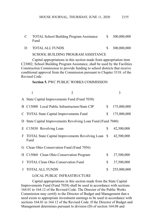| <b>TOTAL School Building Program Assistance</b> | 300,000,000 |
|-------------------------------------------------|-------------|
| Fund                                            |             |

D TOTAL ALL FUNDS \$ 300,000,000

### SCHOOL BUILDING PROGRAM ASSISTANCE

Capital appropriations in this section made from appropriation item C23002, School Building Program Assistance, shall be used by the Facilities Construction Commission to provide funding to school districts that receive conditional approval from the Commission pursuant to Chapter 3318. of the Revised Code.

### **Section 5.** PWC PUBLIC WORKS COMMISSION

|   | 1<br>$\mathfrak{D}$                                                    | 3                 |
|---|------------------------------------------------------------------------|-------------------|
|   | A State Capital Improvements Fund (Fund 7038)                          |                   |
|   | B C15000 Local Public Infrastructure/State CIP                         | \$<br>175,000,000 |
|   | C TOTAL State Capital Improvements Fund                                | \$<br>175,000,000 |
|   | D State Capital Improvements Revolving Loan Fund (Fund 7040)           |                   |
|   | E C15030 Revolving Loan                                                | \$<br>42,500,000  |
|   | F TOTAL State Capital Improvements Revolving Loan \$42,500,000<br>Fund |                   |
|   | G Clean Ohio Conservation Fund (Fund 7056)                             |                   |
|   | H C15060 Clean Ohio Conservation Program                               | \$<br>37,500,000  |
| L | <b>TOTAL Clean Ohio Conservation Fund</b>                              | \$<br>37,500,000  |
| J | <b>TOTAL ALL FUNDS</b>                                                 | \$<br>255,000,000 |
|   |                                                                        |                   |

### LOCAL PUBLIC INFRASTRUCTURE

Capital appropriations in this section made from the State Capital Improvements Fund (Fund 7038) shall be used in accordance with sections 164.01 to 164.12 of the Revised Code. The Director of the Public Works Commission may certify to the Director of Budget and Management that a need exists to appropriate investment earnings to be used in accordance with sections 164.01 to 164.12 of the Revised Code. If the Director of Budget and Management determines pursuant to division (D) of section 164.08 and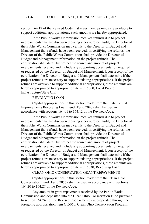section 164.12 of the Revised Code that investment earnings are available to support additional appropriations, such amounts are hereby appropriated.

If the Public Works Commission receives refunds due to project overpayments that are discovered during a post-project audit, the Director of the Public Works Commission may certify to the Director of Budget and Management that refunds have been received. In certifying the refunds, the Director of the Public Works Commission shall provide the Director of Budget and Management information on the project refunds. The certification shall detail by project the source and amount of project overpayments received and include any supporting documentation required or requested by the Director of Budget and Management. Upon receipt of the certification, the Director of Budget and Management shall determine if the project refunds are necessary to support existing appropriations. If the project refunds are available to support additional appropriations, these amounts are hereby appropriated to appropriation item C15000, Local Public Infrastructure/State CIP.

## REVOLVING LOAN

Capital appropriations in this section made from the State Capital Improvements Revolving Loan Fund (Fund 7040) shall be used in accordance with sections 164.01 to 164.12 of the Revised Code.

If the Public Works Commission receives refunds due to project overpayments that are discovered during a post-project audit, the Director of the Public Works Commission may certify to the Director of Budget and Management that refunds have been received. In certifying the refunds, the Director of the Public Works Commission shall provide the Director of Budget and Management information on the project refunds. The certification shall detail by project the source and amount of project overpayments received and include any supporting documentation required or requested by the Director of Budget and Management. Upon receipt of the certification, the Director of Budget and Management shall determine if the project refunds are necessary to support existing appropriations. If the project refunds are available to support additional appropriations, these amounts are hereby appropriated to appropriation item C15030, Revolving Loan.

# CLEAN OHIO CONSERVATION GRANT REPAYMENTS

Capital appropriations in this section made from the Clean Ohio Conservation Fund (Fund 7056) shall be used in accordance with sections 164.20 to 164.27 of the Revised Code.

Any amount in grant repayments received by the Public Works Commission and deposited into the Clean Ohio Conservation Fund pursuant to section 164.261 of the Revised Code is hereby appropriated through the foregoing appropriation item C15060, Clean Ohio Conservation Program.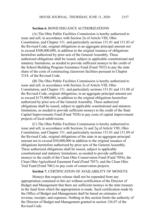# **Section 6.** BOND ISSUANCE AUTHORIZATIONS

(A) The Ohio Public Facilities Commission is hereby authorized to issue and sell, in accordance with Section 2n of Article VIII, Ohio Constitution, and Chapter 151. and particularly sections 151.01 and 151.03 of the Revised Code, original obligations in an aggregate principal amount not to exceed \$300,000,000, in addition to the original issuance of obligations heretofore authorized by prior acts of the General Assembly. These authorized obligations shall be issued, subject to applicable constitutional and statutory limitations, as needed to provide sufficient moneys to the credit of the School Building Program Assistance Fund (Fund 7032) to pay the state share of the costs of constructing classroom facilities pursuant to Chapter 3318. of the Revised Code.

(B) The Ohio Public Facilities Commission is hereby authorized to issue and sell, in accordance with Section 2s of Article VIII, Ohio Constitution, and Chapter 151. and particularly sections 151.01 and 151.08 of the Revised Code, original obligations, in an aggregate principal amount not to exceed \$175,000,000, in addition to the original obligations heretofore authorized by prior acts of the General Assembly. These authorized obligations shall be issued, subject to applicable constitutional and statutory limitations, as needed to provide sufficient moneys to the credit of the State Capital Improvements Fund (Fund 7038) to pay costs of capital improvement projects of local subdivisions.

(C) The Ohio Public Facilities Commission is hereby authorized to issue and sell, in accordance with Sections 2o and 2q of Article VIII, Ohio Constitution, and Chapter 151. and particularly sections 151.01 and 151.09 of the Revised Code, original obligations of the state in an aggregate principal amount not to exceed \$50,000,000 in addition to the original issuance of obligations heretofore authorized by prior acts of the General Assembly. These authorized obligations shall be issued, subject to applicable constitutional and statutory limitations, as needed to provide sufficient moneys to the credit of the Clean Ohio Conservation Fund (Fund 7056), the Clean Ohio Agricultural Easement Fund (Fund 7057), and the Clean Ohio Trail Fund (Fund 7061) to pay costs of conservation projects.

### **Section 7.** CERTIFICATION OF AVAILABILITY OF MONEYS

Moneys that require release shall not be expended from any appropriation contained in this act without certification of the Director of Budget and Management that there are sufficient moneys in the state treasury in the fund from which the appropriation is made. Such certification made by the Office of Budget and Management shall be based on estimates of revenue, receipts, and expenses. Nothing in this section limits the authority of the Director of Budget and Management granted in section 126.07 of the Revised Code.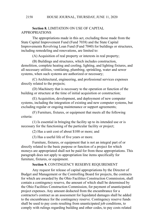### **Section 8.** LIMITATION ON USE OF CAPITAL APPROPRIATIONS

The appropriations made in this act, excluding those made from the State Capital Improvement Fund (Fund 7038) and the State Capital Improvements Revolving Loan Fund (Fund 7040) for buildings or structures, including remodeling and renovations, are limited to:

(A) Acquisition of real property or interests in real property;

(B) Buildings and structures, which includes construction, demolition, complete heating and cooling, lighting, and lighting fixtures, and all necessary utilities, ventilating, plumbing, sprinkling, water and sewer systems, when such systems are authorized or necessary;

(C) Architectural, engineering, and professional services expenses directly related to the projects;

(D) Machinery that is necessary to the operation or function of the building or structure at the time of initial acquisition or construction;

(E) Acquisition, development, and deployment of new computer systems, including the integration of existing and new computer systems, but excluding regular or ongoing maintenance or support agreements;

(F) Furniture, fixtures, or equipment that meets all the following criteria:

(1) Is essential in bringing the facility up to its intended use or is necessary for the functioning of the particular facility or project;

(2) Has a unit cost of about \$100 or more; and

(3) Has a useful life of five years or more.

Furniture, fixtures, or equipment that is not an integral part of or directly related to the basic purpose or function of a project for which moneys are appropriated shall not be paid for from these appropriations. This paragraph does not apply to appropriation line items specifically for furniture, fixtures, or equipment.

# **Section 9.** CONTINGENCY RESERVE REQUIREMENT

Any request for release of capital appropriations by the Director of Budget and Management or the Controlling Board for projects, the contracts for which are awarded by the Ohio Facilities Construction Commission, shall contain a contingency reserve, the amount of which shall be determined by the Ohio Facilities Construction Commission, for payment of unanticipated project expenses. Any amount deducted from the encumbrance for a contractor's contract as an assessment for liquidated damages shall be added to the encumbrance for the contingency reserve. Contingency reserve funds shall be used to pay costs resulting from unanticipated job conditions, to comply with rulings regarding building and other codes, to pay costs related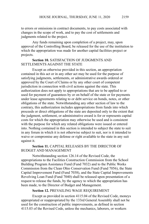to errors or omissions in contract documents, to pay costs associated with changes in the scope of work, and to pay the cost of settlements and judgments related to the project.

Any funds remaining upon completion of a project, may, upon approval of the Controlling Board, be released for the use of the institution to which the appropriation was made for another capital facilities project or projects.

### **Section 10.** SATISFACTION OF JUDGMENTS AND SETTLEMENTS AGAINST THE STATE

Except as otherwise provided in this section, an appropriation contained in this act or in any other act may be used for the purpose of satisfying judgments, settlements, or administrative awards ordered or approved by the Court of Claims or by any other court of competent jurisdiction in connection with civil actions against the state. This authorization does not apply to appropriations that are to be applied to or used for payment of guarantees by or on behalf of the state or for payments under lease agreements relating to or debt service on bonds, notes, or other obligations of the state. Notwithstanding any other section of law to the contrary, this authorization includes appropriations from funds into which proceeds or direct obligations of the state are deposited only to the extent that the judgment, settlement, or administrative award is for or represents capital costs for which the appropriation may otherwise be used and is consistent with the purpose for which any related obligations were issued or entered into. Nothing contained in this section is intended to subject the state to suit in any forum in which it is not otherwise subject to suit, nor is it intended to waive or compromise any defense or right available to the state in any suit against it.

### **Section 11.** CAPITAL RELEASES BY THE DIRECTOR OF BUDGET AND MANAGEMENT

Notwithstanding section 126.14 of the Revised Code, the appropriations to the Facilities Construction Commission from the School Building Program Assistance Fund (Fund 7032) and to the Public Works Commission from the Clean Ohio Conservation Fund (Fund 7056), the State Capital Improvement Fund (Fund 7038), and the State Capital Improvements Revolving Loan Fund (Fund 7040) shall be released upon presentation of a request to release the funds, by the agency to which the appropriation has been made, to the Director of Budget and Management.

### **Section 12.** PREVAILING WAGE REQUIREMENT

Except as provided in section 4115.04 of the Revised Code, moneys appropriated or reappropriated by the 133rd General Assembly shall not be used for the construction of public improvements, as defined in section 4115.03 of the Revised Code, unless the mechanics, laborers, or workers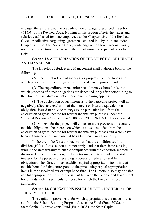engaged therein are paid the prevailing rate of wages prescribed in section 4115.04 of the Revised Code. Nothing in this section affects the wages and salaries established for state employees under Chapter 124. of the Revised Code, or collective bargaining agreements entered into by the state under Chapter 4117. of the Revised Code, while engaged on force account work, nor does this section interfere with the use of inmate and patient labor by the state.

**Section 13.** AUTHORIZATION OF THE DIRECTOR OF BUDGET AND MANAGEMENT

The Director of Budget and Management shall authorize both of the following:

(A) The initial release of moneys for projects from the funds into which proceeds of direct obligations of the state are deposited; and

(B) The expenditure or encumbrance of moneys from funds into which proceeds of direct obligations are deposited, only after determining to the Director's satisfaction that either of the following applies:

(1) The application of such moneys to the particular project will not negatively affect any exclusion of the interest or interest equivalent on obligations issued to provide moneys to the particular fund from the calculation of gross income for federal income tax purposes under the "Internal Revenue Code of 1986," 100 Stat. 2085, 26 U.S.C. 1, as amended.

(2) Moneys for the project will come from the proceeds of federally taxable obligations, the interest on which is not so excluded from the calculation of gross income for federal income tax purposes and which have been authorized and issued on that basis by their issuing authority.

In the event the Director determines that the condition set forth in division (B)(1) of this section does not apply, and that there is no existing fund in the state treasury to enable compliance with the condition set forth in division (B)(2) of this section, the Director may create a fund in the state treasury for the purpose of receiving proceeds of federally taxable obligations. The Director may establish capital appropriation items in that taxable bond fund that correspond to the preexisting capital appropriation items in the associated tax-exempt bond fund. The Director also may transfer capital appropriations in whole or in part between the taxable and tax-exempt bond funds within a particular purpose for which the bonds have been authorized.

**Section 14.** OBLIGATIONS ISSUED UNDER CHAPTER 151. OF THE REVISED CODE

The capital improvements for which appropriations are made in this act from the School Building Program Assistance Fund (Fund 7032), the State Capital Improvements Fund (Fund 7038), the State Capital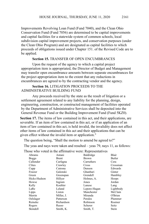Improvements Revolving Loan Fund (Fund 7040), and the Clean Ohio Conservation Fund (Fund 7056) are determined to be capital improvements and capital facilities for a statewide system of common schools, local subdivision capital improvement projects, and conservation purposes (under the Clean Ohio Program) and are designated as capital facilities to which proceeds of obligations issued under Chapter 151. of the Revised Code are to be applied.

### **Section 15.** TRANSFER OF OPEN ENCUMBRANCES

Upon the request of the agency to which a capital project appropriation item is appropriated, the Director of Budget and Management may transfer open encumbrance amounts between separate encumbrances for the project appropriation item to the extent that any reductions in encumbrances are agreed to by the contracting vendor and the agency.

# **Section 16.** LITIGATION PROCEEDS TO THE ADMINISTRATIVE BUILDING FUND

Any proceeds received by the state as the result of litigation or a settlement agreement related to any liability for the planning, design, engineering, construction, or constructed management of facilities operated by the Department of Administrative Services shall be deposited into the General Revenue Fund or the Building Improvement Fund (Fund 5KZ0).

**Section 17.** The items of law contained in this act, and their applications, are severable. If an item of law contained in this act, or if an application of an item of law contained in this act, is held invalid, the invalidity does not affect other items of law contained in this act and their applications that can be given effect without the invalid item or application."

The question being, "Shall the motion to amend be agreed to?"

The yeas and nays were taken and resulted – yeas 79, nays 11, as follows:

Those who voted in the affirmative were: Representatives

| $\frac{1}{20}$ who voice in the annihilative weight. Representatives |            |              |           |
|----------------------------------------------------------------------|------------|--------------|-----------|
| Abrams                                                               | Antani     | Baldridge    | Blair     |
| <b>Boggs</b>                                                         | Brent      | <b>Brown</b> | Butler    |
| Callender                                                            | Carfagna   | Carruthers   | Cera      |
| Clites                                                               | Crawley    | Cross        | Crossman  |
| Cupp                                                                 | Cutrona    | Denson       | Edwards   |
| Fraizer                                                              | Galonski   | Ghanbari     | Ginter    |
| Green                                                                | Greenspan  | Grendell     | Hambley   |
| Hicks-Hudson                                                         | Hillyer    | Holmes, A.   | Hoops     |
| Howse                                                                | Ingram     | Jones        | Jordan    |
| Kelly                                                                | Koehler    | Lanese       | Lang      |
| LaRe                                                                 | Leland     | Lepore-Hagan | Lightbody |
| Lipps                                                                | Liston     | Manchester   | McClain   |
| Merrin                                                               | Miller, J. | Miranda      | O'Brien   |
| Oelslager                                                            | Patterson  | Perales      | Plummer   |
| Reineke                                                              | Richardson | Robinson     | Roemer    |
| Rogers                                                               | Russo      | Scherer      | Seitz     |
| Skindell                                                             | Smith, K.  | Smith, T.    | Stein     |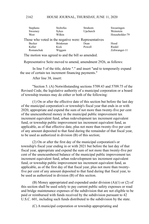### HOUSE JOURNAL, THURSDAY, JUNE 11, 2020 2162

| <b>Stephens</b> | Stoltzfus                                             | Strahorn | Swearingen     |
|-----------------|-------------------------------------------------------|----------|----------------|
| Sweeney         | <b>Sykes</b>                                          | Upchurch | Weinstein      |
| West            | Wilkin                                                |          | Householder-79 |
|                 | Those who voted in the negative were: Representatives |          |                |
| Becker          | <b>Brinkman</b>                                       | Dean     | Hood           |
| Keller          | Kick                                                  | Powell   | Riedel         |
| Romanchuk       | Wiggam                                                |          | Zeltwanger-11  |

The motion was agreed to and the bill so amended.

Representative Seitz moved to amend, amendment 2926, as follows:

In line 5 of the title, delete "." and insert "and to temporarily expand the use of certain tax increment financing payments."

After line 38, insert:

"Section 5. (A) Notwithstanding sections 5709.43 and 5709.75 of the Revised Code, the legislative authority of a municipal corporation or a board of township trustees may do either or both of the following:

(1) On or after the effective date of this section but before the last day of the municipal corporation's or township's fiscal year that ends in or with 2020, appropriate and expend the sum of not more than twenty-five per cent of the unencumbered money in the municipal public improvement tax increment equivalent fund, urban redevelopment tax increment equivalent fund, or township public improvement tax increment equivalent fund, as applicable, as of that effective date, plus not more than twenty-five per cent of any amount deposited to that fund during the remainder of that fiscal year, to be used as authorized in division (B) of this section;

(2) On or after the first day of the municipal corporation's or township's fiscal year ending in or with 2021 but before the last day of that fiscal year, appropriate and expend the sum of not more than twenty-five per cent of the unencumbered balance of the municipal public improvement tax increment equivalent fund, urban redevelopment tax increment equivalent fund, or township public improvement tax increment equivalent fund, as applicable, as of the first day of that fiscal year, plus not more than twentyfive per cent of any amount deposited to that fund during that fiscal year, to be used as authorized in division (B) of this section.

(B) Money appropriated and expended under division (A)(1) or (2) of this section shall be used solely to pay current public safety expenses or road and bridge maintenance expenses of the subdivision that are not eligible to be paid or reimbursed with funds received by the subdivision pursuant to 42 U.S.C. 601, including such funds distributed to the subdivision by the state.

(C) A municipal corporation or township appropriating and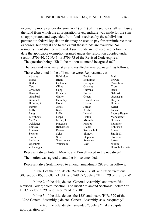expending money under division  $(A)(1)$  or  $(2)$  of this section shall reimburse the fund from which the appropriation or expenditure was made for the sum so appropriated and expended from funds received by the subdivision pursuant to federal legislation that may be used to pay for or reimburse those expenses, but only if and to the extent those funds are available. No reimbursement shall be required if such funds are not received before the date the applicable exemption granted under the resolution adopted under section 5709.40, 5709.41, or 5709.73 of the Revised Code expires." The question being, "Shall the motion to amend be agreed to?"

The yeas and nays were taken and resulted – yeas 86, nays 3, as follows:

|  |  | Those who voted in the affirmative were: Representatives |
|--|--|----------------------------------------------------------|

|              | ose who voice in the annihiative were. Representatives |                 |                |
|--------------|--------------------------------------------------------|-----------------|----------------|
| Abrams       | Baldridge                                              | Becker          | Blair          |
| <b>Boggs</b> | Brent                                                  | <b>Brinkman</b> | <b>Brown</b>   |
| Butler       | Callender                                              | Carfagna        | Carruthers     |
| Cera         | Clites                                                 | Crawley         | Cross          |
| Crossman     | Cupp                                                   | Cutrona         | Dean           |
| Denson       | Edwards                                                | Fraizer         | Galonski       |
| Ghanbari     | Ginter                                                 | Green           | Greenspan      |
| Grendell     | Hambley                                                | Hicks-Hudson    | Hillyer        |
| Holmes, A.   | Hood                                                   | Hoops           | Howse          |
| Ingram       | Jones                                                  | Jordan          | Keller         |
| Kelly        | Kick                                                   | Koehler         | Lanese         |
| Lang         | LaRe                                                   | Leland          | Lepore-Hagan   |
| Lightbody    | Lipps                                                  | Liston          | Manchester     |
| McClain      | Miller, J.                                             | Miranda         | O'Brien        |
| Oelslager    | Patterson                                              | Perales         | Plummer        |
| Reineke      | Richardson                                             | Riedel          | Robinson       |
| Roemer       | Rogers                                                 | Romanchuk       | Russo          |
| Scherer      | Seitz                                                  | Skindell        | Smith, K.      |
| Smith, T.    | Stein                                                  | Stephens        | Stoltzfus      |
| Strahorn     | Swearingen                                             | Sweeney         | Sykes          |
| Upchurch     | Weinstein                                              | West            | Wilkin         |
| Zeltwanger   |                                                        |                 | Householder-86 |

Representatives Antani, Merrin, and Powell voted in the negative-3.

The motion was agreed to and the bill so amended.

Representative Seitz moved to amend, amendment 2928-3, as follows:

In line 1 of the title, delete "Section 237.30" and insert "sections 307.86, 339.05, 505.08, 731.14, and 749.37"; delete "H.B. 529 of the 132nd"

In line 2 of the title, delete "General Assembly" and insert "the Revised Code"; delete "Section" and insert "to amend Sections"; delete "of H.B."; delete "529" and insert "and 237.30"

In line 3 of the title, delete "the 132" and insert "H.B. 529 of the 132nd General Assembly"; delete "General Assembly, as subsequently"

In line 4 of the title, delete "amended,"; delete "make a capital appropriation for"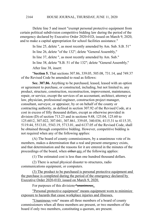Delete line 5 and insert "exempt personal protective equipment from certain political subdivision competitive bidding law during the period of the emergency declared by Executive Order 2020-01D, issued on March 9, 2020, and to make a capital appropriation for school facilities assistance."

In line 25, delete ", as most recently amended by Am. Sub. S.B. 51"

In line 26, delete "of the 132"; delete "General Assembly,"

In line 37, delete ", as most recently amended by Am. Sub."

In line 38, delete "S.B. 51 of the 132"; delete "General Assembly,"

After line 38, insert:

"**Section 5.** That sections 307.86, 339.05, 505.08, 731.14, and 749.37 of the Revised Code be amended to read as follows:

**Sec. 307.86.** Anything to be purchased, leased, leased with an option or agreement to purchase, or constructed, including, but not limited to, any product, structure, construction, reconstruction, improvement, maintenance, repair, or service, except the services of an accountant, architect, attorney at law, physician, professional engineer, construction project manager, consultant, surveyor, or appraiser, by or on behalf of the county or contracting authority, as defined in section 307.92 of the Revised Code, at a cost in excess of fifty thousand dollars, except as otherwise provided in division (D) of section 713.23 and in sections 9.48, 125.04, 125.60 to 125.6012, 307.022, 307.041, 307.861, 339.05, 340.036, 4115.31 to 4115.35, 5119.44, 5513.01, 5543.19, 5713.01, and 6137.05 of the Revised Code, shall be obtained through competitive bidding. However, competitive bidding is not required when any of the following applies:

(A) The board of county commissioners, by a unanimous vote of its members, makes a determination that a real and present emergency exists, and that determination and the reasons for it are entered in the minutes of the proceedings of the board, when either any of the following applies:

(1) The estimated cost is less than one hundred thousand dollars.

(2) There is actual physical disaster to structures, radio communications equipment, or computers.

(3) The product to be purchased is personal protective equipment and the purchase is completed during the period of the emergency declared by Executive Order 2020-01D, issued on March 9, 2020.

For purposes of this division, "unanimous:

"Personal protective equipment" means equipment worn to minimize exposure to hazards that cause workplace injuries and illnesses.

"Unanimous vote" means all three members of a board of county commissioners when all three members are present, or two members of the board if only two members, constituting a quorum, are present.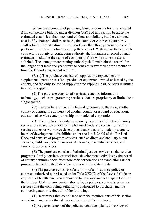Whenever a contract of purchase, lease, or construction is exempted from competitive bidding under division  $(A)(1)$  of this section because the estimated cost is less than one hundred thousand dollars, but the estimated cost is fifty thousand dollars or more, the county or contracting authority shall solicit informal estimates from no fewer than three persons who could perform the contract, before awarding the contract. With regard to each such contract, the county or contracting authority shall maintain a record of such estimates, including the name of each person from whom an estimate is solicited. The county or contracting authority shall maintain the record for the longer of at least one year after the contract is awarded or the amount of time the federal government requires.

(B)(1) The purchase consists of supplies or a replacement or supplemental part or parts for a product or equipment owned or leased by the county, and the only source of supply for the supplies, part, or parts is limited to a single supplier.

(2) The purchase consists of services related to information technology, such as programming services, that are proprietary or limited to a single source.

(C) The purchase is from the federal government, the state, another county or contracting authority of another county, or a board of education, educational service center, township, or municipal corporation.

(D) The purchase is made by a county department of job and family services under section 329.04 of the Revised Code and consists of family services duties or workforce development activities or is made by a county board of developmental disabilities under section 5126.05 of the Revised Code and consists of program services, such as direct and ancillary client services, child care, case management services, residential services, and family resource services.

(E) The purchase consists of criminal justice services, social services programs, family services, or workforce development activities by the board of county commissioners from nonprofit corporations or associations under programs funded by the federal government or by state grants.

(F) The purchase consists of any form of an insurance policy or contract authorized to be issued under Title XXXIX of the Revised Code or any form of health care plan authorized to be issued under Chapter 1751. of the Revised Code, or any combination of such policies, contracts, plans, or services that the contracting authority is authorized to purchase, and the contracting authority does all of the following:

(1) Determines that compliance with the requirements of this section would increase, rather than decrease, the cost of the purchase;

(2) Requests issuers of the policies, contracts, plans, or services to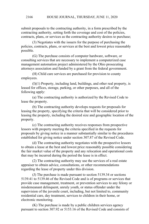submit proposals to the contracting authority, in a form prescribed by the contracting authority, setting forth the coverage and cost of the policies, contracts, plans, or services as the contracting authority desires to purchase;

(3) Negotiates with the issuers for the purpose of purchasing the policies, contracts, plans, or services at the best and lowest price reasonably possible.

(G) The purchase consists of computer hardware, software, or consulting services that are necessary to implement a computerized case management automation project administered by the Ohio prosecuting attorneys association and funded by a grant from the federal government.

(H) Child care services are purchased for provision to county employees.

(I)(1) Property, including land, buildings, and other real property, is leased for offices, storage, parking, or other purposes, and all of the following apply:

(a) The contracting authority is authorized by the Revised Code to lease the property.

(b) The contracting authority develops requests for proposals for leasing the property, specifying the criteria that will be considered prior to leasing the property, including the desired size and geographic location of the property.

(c) The contracting authority receives responses from prospective lessors with property meeting the criteria specified in the requests for proposals by giving notice in a manner substantially similar to the procedures established for giving notice under section 307.87 of the Revised Code.

(d) The contracting authority negotiates with the prospective lessors to obtain a lease at the best and lowest price reasonably possible considering the fair market value of the property and any relocation and operational costs that may be incurred during the period the lease is in effect.

(2) The contracting authority may use the services of a real estate appraiser to obtain advice, consultations, or other recommendations regarding the lease of property under this division.

(J) The purchase is made pursuant to section 5139.34 or sections 5139.41 to 5139.46 of the Revised Code and is of programs or services that provide case management, treatment, or prevention services to any felony or misdemeanant delinquent, unruly youth, or status offender under the supervision of the juvenile court, including, but not limited to, community residential care, day treatment, services to children in their home, or electronic monitoring.

(K) The purchase is made by a public children services agency pursuant to section 307.92 or 5153.16 of the Revised Code and consists of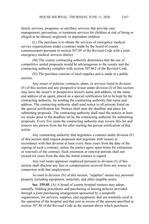family services, programs, or ancillary services that provide case management, prevention, or treatment services for children at risk of being or alleged to be abused, neglected, or dependent children.

(L) The purchase is to obtain the services of emergency medical service organizations under a contract made by the board of county commissioners pursuant to section 307.05 of the Revised Code with a joint emergency medical services district.

(M) The county contracting authority determines that the use of competitive sealed proposals would be advantageous to the county and the contracting authority complies with section 307.862 of the Revised Code.

(N) The purchase consists of used supplies and is made at a public auction.

Any issuer of policies, contracts, plans, or services listed in division (F) of this section and any prospective lessor under division (I) of this section may have the issuer's or prospective lessor's name and address, or the name and address of an agent, placed on a special notification list to be kept by the contracting authority, by sending the contracting authority that name and address. The contracting authority shall send notice to all persons listed on the special notification list. Notices shall state the deadline and place for submitting proposals. The contracting authority shall mail the notices at least six weeks prior to the deadline set by the contracting authority for submitting proposals. Every five years the contracting authority may review this list and remove any person from the list after mailing the person notification of that action.

Any contracting authority that negotiates a contract under division (F) of this section shall request proposals and negotiate with issuers in accordance with that division at least every three years from the date of the signing of such a contract, unless the parties agree upon terms for extensions or renewals of the contract. Such extension or renewal periods shall not exceed six years from the date the initial contract is signed.

Any real estate appraiser employed pursuant to division (I) of this section shall disclose any fees or compensation received from any source in connection with that employment.

As used in division (N) of this section, "supplies" means any personal property including equipment, materials, and other tangible assets.

**Sec. 339.05.** (A) A board of county hospital trustees may adopt, annually, bidding procedures and purchasing or leasing policies provided through a joint purchasing arrangement sponsored by a nonprofit organization, for services, supplies, and equipment, that are routinely used in the operation of the hospital and that cost in excess of the amount specified in section 307.86 of the Revised Code as the amount above which purchases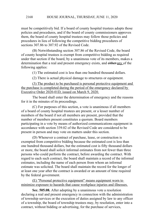must be competitively bid. If a board of county hospital trustees adopts those policies and procedures, and if the board of county commissioners approves them, the board of county hospital trustees may follow those policies and procedures in lieu of following the competitive bidding procedures of sections 307.86 to 307.92 of the Revised Code.

(B) Notwithstanding section 307.86 of the Revised Code, the board of county hospital trustees is exempt from competitive bidding as required under that section if the board, by a unanimous vote of its members, makes a determination that a real and present emergency exists, and either any of the following applies:

(1) The estimated cost is less than one hundred thousand dollars.

(2) There is actual physical damage to structures or equipment.

(3) The product to be purchased is personal protective equipment and the purchase is completed during the period of the emergency declared by Executive Order 2020-01D, issued on March 9, 2020.

The board shall enter the determination of emergency and the reasons for it in the minutes of its proceedings.

(C) For purposes of this section, a vote is unanimous if all members of a board of county hospital trustees are present, or a lesser number of members of the board if not all members are present, provided that the number of members present constitutes a quorum. Board members participating in a vote by means of authorized communications equipment in accordance with section 339.02 of the Revised Code are considered to be present in person and may vote on matters under this section.

(D) Whenever a contract of purchase, lease, or construction is exempted from competitive bidding because the estimated cost is less than one hundred thousand dollars, but the estimated cost is fifty thousand dollars or more, the board shall solicit informal estimates from not fewer than three persons who could perform the contract, before awarding the contract. With regard to each such contract, the board shall maintain a record of the informal estimates, including the name of each person from whom an informal estimate was solicited. The board shall maintain the record for the longer of at least one year after the contract is awarded or an amount of time required by the federal government.

(E) "Personal protective equipment" means equipment worn to minimize exposure to hazards that cause workplace injuries and illnesses.

**Sec. 505.08.** After adopting by a unanimous vote a resolution declaring a real and present emergency in connection with the administration of township services or the execution of duties assigned by law to any officer of a township, the board of township trustees may, by resolution, enter into a contract, without bidding or advertising, for the purchase of services,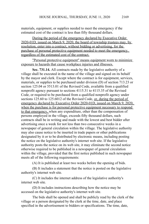materials, equipment, or supplies needed to meet the emergency if the estimated cost of the contract is less than fifty thousand dollars.

During the period of the emergency declared by Executive Order 2020-01D, issued on March 9, 2020, the board of township trustees may, by resolution, enter into a contract, without bidding or advertising, for the purchase of personal protective equipment needed to meet the emergency, regardless of the estimated cost of the contract.

"Personal protective equipment" means equipment worn to minimize exposure to hazards that cause workplace injuries and illnesses.

**Sec. 731.14.** All contracts made by the legislative authority of a village shall be executed in the name of the village and signed on its behalf by the mayor and clerk. Except where the contract is for equipment, services, materials, or supplies to be purchased under division (D) of section 713.23 or section 125.04 or 5513.01 of the Revised Code, available from a qualified nonprofit agency pursuant to sections 4115.31 to 4115.35 of the Revised Code, or required to be purchased from a qualified nonprofit agency under sections 125.60 to 125.6012 of the Revised Code, or, during the period of emergency declared by Executive Order 2020-01D, issued on March 9, 2020, when the purchase is for personal protective equipment necessary to respond to that emergency, when any expenditure, other than the compensation of persons employed in the village, exceeds fifty thousand dollars, such contracts shall be in writing and made with the lowest and best bidder after advertising once a week for not less than two consecutive weeks in a newspaper of general circulation within the village. The legislative authority may also cause notice to be inserted in trade papers or other publications designated by it or to be distributed by electronic means, including posting the notice on the legislative authority's internet web site. If the legislative authority posts the notice on its web site, it may eliminate the second notice otherwise required to be published in a newspaper of general circulation within the village, provided that the first notice published in such newspaper meets all of the following requirements:

(A) It is published at least two weeks before the opening of bids.

(B) It includes a statement that the notice is posted on the legislative authority's internet web site.

(C) It includes the internet address of the legislative authority's internet web site.

(D) It includes instructions describing how the notice may be accessed on the legislative authority's internet web site.

The bids shall be opened and shall be publicly read by the clerk of the village or a person designated by the clerk at the time, date, and place specified in the advertisement to bidders or specifications. The time, date,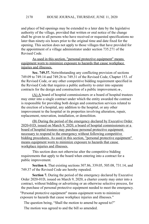and place of bid openings may be extended to a later date by the legislative authority of the village, provided that written or oral notice of the change shall be given to all persons who have received or requested specifications no later than ninety-six hours prior to the original time and date fixed for the opening. This section does not apply to those villages that have provided for the appointment of a village administrator under section 735.271 of the Revised Code.

As used in this section, "personal protective equipment" means equipment worn to minimize exposure to hazards that cause workplace injuries and illnesses.

**Sec. 749.37.** Notwithstanding any conflicting provision of sections 749.09 to 749.14 and 749.26 to 749.31 of the Revised Code, Chapter 153. of the Revised Code, or any other competitive bidding requirement specified in the Revised Code that requires a public authority to enter into separate contracts for the design and construction of a public improvement,  $\alpha$ .

(A) A board of hospital commissioners or a board of hospital trustees may enter into a single contract under which the entity awarded the contract is responsible for providing both design and construction services related to the erection of a hospital, any addition to the hospital, or any other improvement to the hospital or its properties involving alteration, repair, replacement, renovation, installation, or demolition.

(B) During the period of the emergency declared by Executive Order 2020-01D, issued on March 9, 2020, a board of hospital commissioners or a board of hospital trustees may purchase personal protective equipment necessary to respond to the emergency without following competitive bidding procedures. As used in this section, "personal protective equipment" means equipment worn to minimize exposure to hazards that cause workplace injuries and illnesses.

This section does not otherwise alter the competitive bidding requirements that apply to the board when entering into a contract for a public improvement.

**Section 6.** That existing sections 307.86, 339.05, 505.08, 731.14, and 749.37 of the Revised Code are hereby repealed.

**Section 7.** During the period of the emergency declared by Executive Order 2020-01D, issued on March 9, 2020, a charter county may enter into a contract, without bidding or advertising or an otherwise selective process, for the purchase of personal protective equipment needed to meet the emergency.

"Personal protective equipment" means equipment worn to minimize exposure to hazards that cause workplace injuries and illnesses."

The question being, "Shall the motion to amend be agreed to?"

The motion was agreed to and the bill so amended.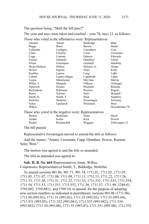The question being, "Shall the bill pass?"

The yeas and nays were taken and resulted – yeas 78, nays 12, as follows:

Those who voted in the affirmative were: Representatives

|                                                       | Abrams       | Antani          | Baldridge    | Blair          |  |  |
|-------------------------------------------------------|--------------|-----------------|--------------|----------------|--|--|
|                                                       | <b>Boggs</b> | <b>Brent</b>    | <b>Brown</b> | Butler         |  |  |
|                                                       | Callender    | Carfagna        | Carruthers   | Cera           |  |  |
|                                                       | Clites       | Crawley         | Cross        | Crossman       |  |  |
|                                                       | Cupp         | Cutrona         | Denson       | Edwards        |  |  |
|                                                       | Fraizer      | Galonski        | Ghanbari     | Ginter         |  |  |
|                                                       | Green        | Greenspan       | Grendell     | Hambley        |  |  |
|                                                       | Hicks-Hudson | Hillyer         | Holmes, A.   | Hoops          |  |  |
|                                                       | Howse        | Ingram          | Jones        | Kelly          |  |  |
|                                                       | Koehler      | Lanese          | Lang         | LaRe           |  |  |
|                                                       | Leland       | Lepore-Hagan    | Lightbody    | Lipps          |  |  |
|                                                       | Liston       | Manchester      | McClain      | Merrin         |  |  |
|                                                       | Miller, J.   | Miranda         | O'Brien      | Oelslager      |  |  |
|                                                       | Patterson    | Perales         | Plummer      | Reineke        |  |  |
|                                                       | Richardson   | Robinson        | Roemer       | Rogers         |  |  |
|                                                       | Russo        | Scherer         | Seitz        | Skindell       |  |  |
|                                                       | Smith, K.    | Smith, T.       | Stein        | Stephens       |  |  |
|                                                       | Stoltzfus    | Strahorn        | Swearingen   | Sweeney        |  |  |
|                                                       | Sykes        | Upchurch        | Weinstein    | West           |  |  |
|                                                       | Wilkin       |                 |              | Householder-78 |  |  |
| Those who voted in the negative were: Representatives |              |                 |              |                |  |  |
|                                                       | Becker       | <b>Brinkman</b> | Dean         | Hood           |  |  |
|                                                       | Jordan       | Keller          | Kick         | Powell         |  |  |
|                                                       | Riedel       | Romanchuk       | Wiggam       | Zeltwanger-12  |  |  |
|                                                       |              |                 |              |                |  |  |

The bill passed.

Representative Swearingen moved to amend the title as follows:

Add the names: "Antani, Crossman, Cupp, Ghanbari, Howse, Roemer, Seitz, West."

The motion was agreed to and the title so amended.

The title as amended was agreed to.

**Sub. H. B. No. 665**-Representatives Jones, Wilkin. Cosponsors: Representatives Smith, T., Baldridge, Stoltzfus.

To amend sections 901.06, 901.71, 901.74, 1711.01, 1711.02, 1711.03, 1711.05, 1711.07, 1711.08, 1711.09, 1711.11, 1711.13, 1711.22, 1711.26, 1711.33, 1711.50, 1711.51, 1711.52, 1711.53, 1711.532, 1711.533, 1711.534, 1711.54, 1711.55, 1711.551, 1711.552, 1711.56, 1711.57, 1711.99, 3749.01, 3769.082, 3769.0811, and 5709.10; to amend, for the purpose of adopting new section numbers as indicated in parentheses, sections 901.06 (1711.06), 1711.50 (993.01), 1711.51 (993.02), 1711.52 (993.03), 1711.53 (993.04), 1711.531 (993.05), 1711.532 (993.041), 1711.533 (993.042), 1711.534 (993.043), 1711.54 (993.06), 1711.55 (993.07), 1711.551 (993.08), 1711.552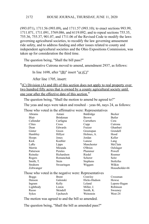(993.071), 1711.56 (993.09), and 1711.57 (993.10); to enact sections 993.99, 1711.071, 1711.091, 3769.086, and 6119.092; and to repeal sections 755.35, 755.36, 755.37, 901.07, and 1711.06 of the Revised Code to modify the laws governing agricultural societies, to recodify the law governing amusement ride safety, and to address funding and other issues related to county and independent agricultural societies and the Ohio Expositions Commission, was taken up for consideration the third time.

The question being, "Shall the bill pass?"

Representative Cutrona moved to amend, amendment 2937, as follows:

In line 1698, after " $(B)$ " insert "or  $(C)$ "

After line 1705, insert:

"(C) Division (A) and (B) of this section does not apply to real property over two hundred fifty acres that is owned by a county agricultural society until one year after the effective date of this section."

The question being, "Shall the motion to amend be agreed to?"

The yeas and nays were taken and resulted – yeas 66, nays 24, as follows:

| Those who voted in the affirmative were: Representatives |  |  |  |  |  |  |  |  |  |  |
|----------------------------------------------------------|--|--|--|--|--|--|--|--|--|--|
|----------------------------------------------------------|--|--|--|--|--|--|--|--|--|--|

| soled in the annihate were, respresentances           |                 |                 |                  |  |  |  |
|-------------------------------------------------------|-----------------|-----------------|------------------|--|--|--|
| Abrams                                                | Antani          | Baldridge       | Becker           |  |  |  |
| Blair                                                 | <b>Brinkman</b> | <b>Brown</b>    | Butler           |  |  |  |
| Callender                                             | Carfagna        | Carruthers      | Cera             |  |  |  |
| Clites                                                | <b>Cross</b>    | Cupp            | Cutrona          |  |  |  |
| Dean                                                  | Edwards         | Fraizer         | Ghanbari         |  |  |  |
| Ginter                                                | Green           | Greenspan       | Grendell         |  |  |  |
| Hambley                                               | Hillyer         | Holmes, A.      | Hood             |  |  |  |
| Hoops                                                 | Jones           | Jordan          | Keller           |  |  |  |
| Kick                                                  | Koehler         | Lanese          | Lang             |  |  |  |
| LaRe                                                  | Lipps           | Manchester      | McClain          |  |  |  |
| Merrin                                                | Miranda         | O'Brien         | Oelslager        |  |  |  |
| Patterson                                             | Perales         | Plummer         | Powell           |  |  |  |
| Reineke                                               | Richardson      | Riedel          | Roemer           |  |  |  |
| Rogers                                                | Romanchuk       | Scherer         | Seitz            |  |  |  |
| Smith, T.                                             | Stein           | <b>Stephens</b> | <b>Stoltzfus</b> |  |  |  |
| Strahorn                                              | Swearingen      | Wiggam          | Wilkin           |  |  |  |
| Zeltwanger                                            |                 |                 | Householder-66   |  |  |  |
| Those who voted in the negative were: Representatives |                 |                 |                  |  |  |  |
| <b>Boggs</b>                                          | <b>Brent</b>    | Crawley         | Crossman         |  |  |  |
| Denson                                                | Galonski        | Hicks-Hudson    | Howse            |  |  |  |
| Ingram                                                | Kelly           | Leland          | Lepore-Hagan     |  |  |  |
| Lightbody                                             | Liston          | Miller, J.      | Robinson         |  |  |  |
| Russo                                                 | Skindell        | Smith, K.       | Sweeney          |  |  |  |
| Sykes                                                 | Upchurch        | Weinstein       | West-24          |  |  |  |

The motion was agreed to and the bill so amended.

The question being, "Shall the bill as amended pass?"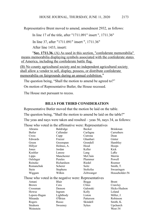Representative Brent moved to amend, amendment 2932, as follows:

In line 17 of the title, after "1711.091" insert ", 1711.36"

In line 37, after "1711.091" insert ", 1711.36"

After line 1433, insert:

"**Sec. 1711.36.** (A) As used in this section, "confederate memorabilia" means memorabilia displaying symbols associated with the confederate states of America, including the confederate battle flag.

(B) No county agricultural society and no independent agricultural society shall allow a vendor to sell, display, possess, or distribute confederate memorabilia on fairgrounds during an annual exhibition."

The question being, "Shall the motion to amend be agreed to?"

On motion of Representative Butler, the House recessed.

The House met pursuant to recess.

## **BILLS FOR THIRD CONSIDERATION**

Representative Butler moved that the motion be laid on the table. The question being, "Shall the motion to amend be laid on the table?" The yeas and nays were taken and resulted – yeas 56, nays 34, as follows:

Those who voted in the affirmative were: Representatives

| Abrams                                                | Baldridge  | Becker       | <b>Brinkman</b> |
|-------------------------------------------------------|------------|--------------|-----------------|
| Butler                                                | Callender  | Carfagna     | Carruthers      |
| Cross                                                 | Cupp       | Cutrona      | Dean            |
| Edwards                                               | Fraizer    | Ghanbari     | Ginter          |
| Green                                                 | Greenspan  | Grendell     | Hambley         |
| Hillyer                                               | Holmes, A. | Hood         | Hoops           |
| Jones                                                 | Jordan     | Keller       | Kick            |
| Koehler                                               | Lanese     | Lang         | LaRe            |
| Lipps                                                 | Manchester | McClain      | Merrin          |
| Oelslager                                             | Perales    | Plummer      | Powell          |
| Reineke                                               | Richardson | Riedel       | Roemer          |
| Romanchuk                                             | Scherer    | Seitz        | Smith, T.       |
| Stein                                                 | Stephens   | Stoltzfus    | Swearingen      |
| Wiggam                                                | Wilkin     | Zeltwanger   | Householder-56  |
| Those who voted in the negative were: Representatives |            |              |                 |
| Antani                                                | Blair      | <b>Boggs</b> | <b>Brent</b>    |
| <b>Brown</b>                                          | Cera       | Clites       | Crawley         |
| Crossman                                              | Denson     | Galonski     | Hicks-Hudson    |
| Howse                                                 | Ingram     | Kelly        | Leland          |
| Lepore-Hagan                                          | Lightbody  | Liston       | Miller, J.      |
| Miranda                                               | O'Brien    | Patterson    | Robinson        |
| Rogers                                                | Russo      | Skindell     | Smith, K.       |
| Strahorn                                              | Sweeney    | <b>Sykes</b> | Upchurch        |
| Weinstein                                             |            |              | West-34         |
|                                                       |            |              |                 |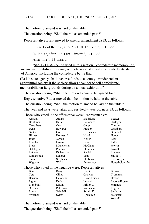The motion to amend was laid on the table.

The question being, "Shall the bill as amended pass?"

Representative Brent moved to amend, amendment 2933, as follows:

In line 17 of the title, after "1711.091" insert ", 1711.36"

In line 37, after "1711.091" insert ", 1711.36"

After line 1433, insert:

" **Sec. 1711.36.** (A) As used in this section, "confederate memorabilia" means memorabilia displaying symbols associated with the confederate states of America, including the confederate battle flag.

(B) No state agency shall disburse funds to a county or independent agricultural society if the society allows a vendor to sell confederate memorabilia on fairgrounds during an annual exhibition."

The question being, "Shall the motion to amend be agreed to?"

Representative Butler moved that the motion be laid on the table.

The question being, "Shall the motion to amend be laid on the table?"

The yeas and nays were taken and resulted – yeas 56, nays 33, as follows:

Those who voted in the affirmative were: Representatives

| THUSE WHO YORG IN the annihilative Were, Representatives |              |                |  |  |  |  |
|----------------------------------------------------------|--------------|----------------|--|--|--|--|
| Antani                                                   | Baldridge    | Becker         |  |  |  |  |
| Butler                                                   | Callender    | Carfagna       |  |  |  |  |
| Cross                                                    | Cupp         | Cutrona        |  |  |  |  |
| Edwards                                                  | Fraizer      | Ghanbari       |  |  |  |  |
| Green                                                    | Greenspan    | Grendell       |  |  |  |  |
| Holmes, A.                                               | Hood         | Hoops          |  |  |  |  |
| Jordan                                                   | Keller       | Kick           |  |  |  |  |
| Lanese                                                   | Lang         | LaRe           |  |  |  |  |
| Manchester                                               | McClain      | Merrin         |  |  |  |  |
| Perales                                                  | Plummer      | Powell         |  |  |  |  |
| Richardson                                               | Riedel       | Roemer         |  |  |  |  |
| Scherer                                                  | Seitz        | Smith, T.      |  |  |  |  |
| Stephens                                                 | Stoltzfus    | Swearingen     |  |  |  |  |
| Wilkin                                                   | Zeltwanger   | Householder-56 |  |  |  |  |
| Those who voted in the negative were: Representatives    |              |                |  |  |  |  |
|                                                          | Brent        | <b>Brown</b>   |  |  |  |  |
| Clites                                                   | Crawley      | Crossman       |  |  |  |  |
| Galonski                                                 | Hicks-Hudson | Howse          |  |  |  |  |
| Kelly                                                    | Leland       | Lepore-Hagan   |  |  |  |  |
| Liston                                                   | Miller, J.   | Miranda        |  |  |  |  |
| Patterson                                                | Robinson     | Rogers         |  |  |  |  |
| Skindell                                                 | Smith, K.    | Strahorn       |  |  |  |  |
|                                                          | <b>Boggs</b> |                |  |  |  |  |

Sweeney Sykes Upchurch Weinstein

West-33

The motion to amend was laid on the table.

The question being, "Shall the bill as amended pass?"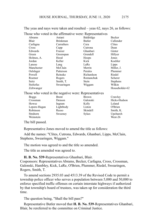The yeas and nays were taken and resulted – yeas 62, nays 26, as follows: Those who voted in the affirmative were: Representatives

|                                                       | Abrams       | Antani       | Baldridge    | Becker          |  |  |
|-------------------------------------------------------|--------------|--------------|--------------|-----------------|--|--|
|                                                       | Blair        | Brinkman     | Butler       | Callender       |  |  |
|                                                       | Carfagna     | Carruthers   | Cera         | Clites          |  |  |
|                                                       | Cross        | Cupp         | Cutrona      | Dean            |  |  |
|                                                       | Edwards      | Fraizer      | Ghanbari     | Ginter          |  |  |
|                                                       | Green        | Greenspan    | Grendell     | Hillyer         |  |  |
|                                                       | Holmes, A.   | Hood         | Hoops        | Jones           |  |  |
|                                                       | Jordan       | Keller       | Kick         | Koehler         |  |  |
|                                                       | Lanese       | Lang         | LaRe         | Lipps           |  |  |
|                                                       | Manchester   | McClain      | Merrin       | Miller, J.      |  |  |
|                                                       | Oelslager    | Patterson    | Perales      | Plummer         |  |  |
|                                                       | Powell       | Reineke      | Richardson   | Riedel          |  |  |
|                                                       | Roemer       | Rogers       | Romanchuk    | Scherer         |  |  |
|                                                       | Seitz        | Smith, T.    | Stein        | <b>Stephens</b> |  |  |
|                                                       | Stoltzfus    | Swearingen   | Wiggam       | Wilkin          |  |  |
|                                                       | Zeltwanger   |              |              | Householder-62  |  |  |
| Those who voted in the negative were: Representatives |              |              |              |                 |  |  |
|                                                       | <b>Boggs</b> | <b>Brent</b> | <b>Brown</b> | Crawley         |  |  |
|                                                       | Crossman     | Denson       | Galonski     | Hicks-Hudson    |  |  |
|                                                       | Howse        | Ingram       | Kelly        | Leland          |  |  |
|                                                       | Lepore-Hagan | Lightbody    | Liston       | O'Brien         |  |  |
|                                                       | Robinson     | Russo        | Skindell     | Smith, K.       |  |  |
|                                                       | Strahorn     | Sweeney      | Sykes        | Upchurch        |  |  |
|                                                       | Weinstein    |              |              | West-26         |  |  |
|                                                       |              |              |              |                 |  |  |

The bill passed.

Representative Jones moved to amend the title as follows:

Add the names: "Clites, Cutrona, Edwards, Ghanbari, Lipps, McClain, Stephens, Swearingen, Wiggam."

The motion was agreed to and the title so amended.

The title as amended was agreed to.

**H. B. No. 539**-Representatives Ghanbari, Blair.

Cosponsors: Representatives Abrams, Becker, Carfagna, Cross, Crossman, Galonski, Hambley, Kick, LaRe, O'Brien, Plummer, Riedel, Swearingen, Rogers, Smith, T.

To amend sections 2935.03 and 4513.39 of the Revised Code to permit a township police officer who serves a population between 5,000 and 50,000 to enforce specified traffic offenses on certain interstate highways if authorized by that township's board of trustees, was taken up for consideration the third time.

The question being, "Shall the bill pass?"

Representative Butler moved that **H. B. No. 539**-Representatives Ghanbari, Blair, be rereferred to the committee on Criminal Justice.